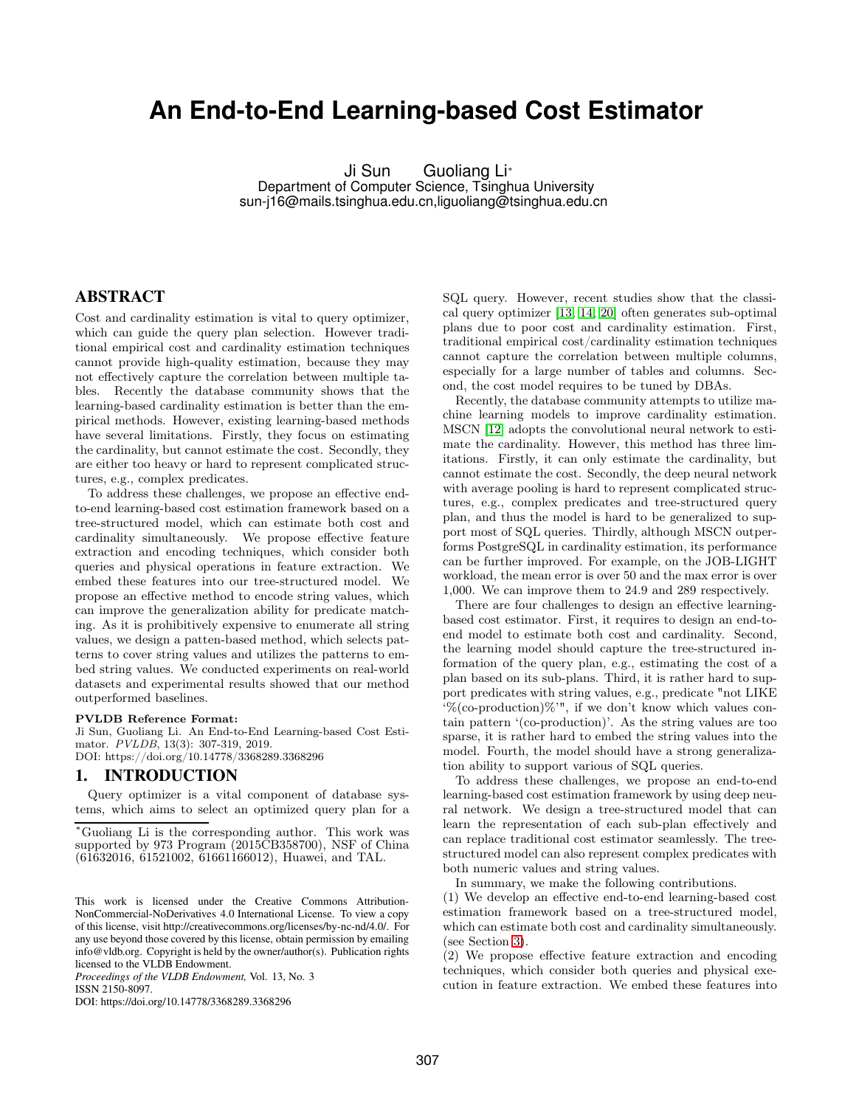# **An End-to-End Learning-based Cost Estimator**

Ji Sun Guoliang Li<sup>∗</sup> Department of Computer Science, Tsinghua University sun-j16@mails.tsinghua.edu.cn,liguoliang@tsinghua.edu.cn

## ABSTRACT

Cost and cardinality estimation is vital to query optimizer, which can guide the query plan selection. However traditional empirical cost and cardinality estimation techniques cannot provide high-quality estimation, because they may not effectively capture the correlation between multiple tables. Recently the database community shows that the learning-based cardinality estimation is better than the empirical methods. However, existing learning-based methods have several limitations. Firstly, they focus on estimating the cardinality, but cannot estimate the cost. Secondly, they are either too heavy or hard to represent complicated structures, e.g., complex predicates.

To address these challenges, we propose an effective endto-end learning-based cost estimation framework based on a tree-structured model, which can estimate both cost and cardinality simultaneously. We propose effective feature extraction and encoding techniques, which consider both queries and physical operations in feature extraction. We embed these features into our tree-structured model. We propose an effective method to encode string values, which can improve the generalization ability for predicate matching. As it is prohibitively expensive to enumerate all string values, we design a patten-based method, which selects patterns to cover string values and utilizes the patterns to embed string values. We conducted experiments on real-world datasets and experimental results showed that our method outperformed baselines.

#### PVLDB Reference Format:

Ji Sun, Guoliang Li. An End-to-End Learning-based Cost Estimator. PVLDB, 13(3): 307-319, 2019. DOI: https://doi.org/10.14778/3368289.3368296

#### 1. INTRODUCTION

Query optimizer is a vital component of database systems, which aims to select an optimized query plan for a

*Proceedings of the VLDB Endowment,* Vol. 13, No. 3 ISSN 2150-8097.

DOI: https://doi.org/10.14778/3368289.3368296

SQL query. However, recent studies show that the classical query optimizer [13, 14, [20\]](#page-12-0) often generates sub-optimal plans due to poor cost and cardinality estimation. First, traditional empirical cost/cardinality estimation techniques cannot capture the correlation between multiple columns, especially for a large number of tables and columns. Second, the cost model requires to be tuned by DBAs.

Recently, the database community attempts to utilize machine learning models to improve cardinality estimation. MSCN [12] adopts the convolutional neural network to estimate the cardinality. However, this method has three limitations. Firstly, it can only estimate the cardinality, but cannot estimate the cost. Secondly, the deep neural network with average pooling is hard to represent complicated structures, e.g., complex predicates and tree-structured query plan, and thus the model is hard to be generalized to support most of SQL queries. Thirdly, although MSCN outperforms PostgreSQL in cardinality estimation, its performance can be further improved. For example, on the JOB-LIGHT workload, the mean error is over 50 and the max error is over 1,000. We can improve them to 24.9 and 289 respectively.

There are four challenges to design an effective learningbased cost estimator. First, it requires to design an end-toend model to estimate both cost and cardinality. Second, the learning model should capture the tree-structured information of the query plan, e.g., estimating the cost of a plan based on its sub-plans. Third, it is rather hard to support predicates with string values, e.g., predicate "not LIKE '%(co-production)%'", if we don't know which values contain pattern '(co-production)'. As the string values are too sparse, it is rather hard to embed the string values into the model. Fourth, the model should have a strong generalization ability to support various of SQL queries.

To address these challenges, we propose an end-to-end learning-based cost estimation framework by using deep neural network. We design a tree-structured model that can learn the representation of each sub-plan effectively and can replace traditional cost estimator seamlessly. The treestructured model can also represent complex predicates with both numeric values and string values.

In summary, we make the following contributions.

(1) We develop an effective end-to-end learning-based cost estimation framework based on a tree-structured model, which can estimate both cost and cardinality simultaneously. (see Section [3\)](#page-1-0).

(2) We propose effective feature extraction and encoding techniques, which consider both queries and physical execution in feature extraction. We embed these features into

<sup>∗</sup>Guoliang Li is the corresponding author. This work was supported by 973 Program (2015CB358700), NSF of China (61632016, 61521002, 61661166012), Huawei, and TAL.

This work is licensed under the Creative Commons Attribution-NonCommercial-NoDerivatives 4.0 International License. To view a copy of this license, visit http://creativecommons.org/licenses/by-nc-nd/4.0/. For any use beyond those covered by this license, obtain permission by emailing info@vldb.org. Copyright is held by the owner/author(s). Publication rights licensed to the VLDB Endowment.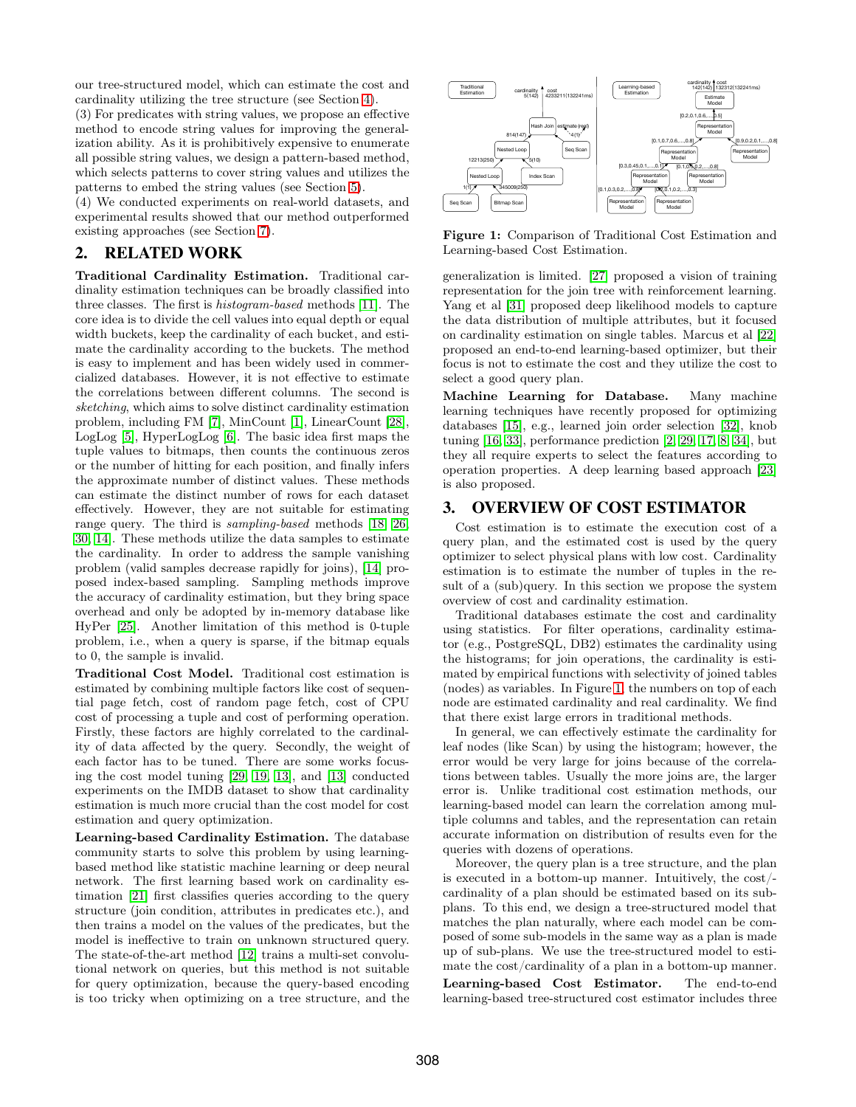our tree-structured model, which can estimate the cost and cardinality utilizing the tree structure (see Section [4\)](#page-3-0).

(3) For predicates with string values, we propose an effective method to encode string values for improving the generalization ability. As it is prohibitively expensive to enumerate all possible string values, we design a pattern-based method, which selects patterns to cover string values and utilizes the patterns to embed the string values (see Section [5\)](#page-6-0).

(4) We conducted experiments on real-world datasets, and experimental results showed that our method outperformed existing approaches (see Section [7\)](#page-8-0).

#### 2. RELATED WORK

Traditional Cardinality Estimation. Traditional cardinality estimation techniques can be broadly classified into three classes. The first is histogram-based methods [11]. The core idea is to divide the cell values into equal depth or equal width buckets, keep the cardinality of each bucket, and estimate the cardinality according to the buckets. The method is easy to implement and has been widely used in commercialized databases. However, it is not effective to estimate the correlations between different columns. The second is sketching, which aims to solve distinct cardinality estimation problem, including FM [\[7\]](#page-12-1), MinCount [\[1\]](#page-12-2), LinearCount [28], LogLog [5], HyperLogLog [\[6\]](#page-12-3). The basic idea first maps the tuple values to bitmaps, then counts the continuous zeros or the number of hitting for each position, and finally infers the approximate number of distinct values. These methods can estimate the distinct number of rows for each dataset effectively. However, they are not suitable for estimating range query. The third is sampling-based methods [\[18,](#page-12-4) 26, [30,](#page-12-5) 14]. These methods utilize the data samples to estimate the cardinality. In order to address the sample vanishing problem (valid samples decrease rapidly for joins), [14] proposed index-based sampling. Sampling methods improve the accuracy of cardinality estimation, but they bring space overhead and only be adopted by in-memory database like HyPer [25]. Another limitation of this method is 0-tuple problem, i.e., when a query is sparse, if the bitmap equals to 0, the sample is invalid.

Traditional Cost Model. Traditional cost estimation is estimated by combining multiple factors like cost of sequential page fetch, cost of random page fetch, cost of CPU cost of processing a tuple and cost of performing operation. Firstly, these factors are highly correlated to the cardinality of data affected by the query. Secondly, the weight of each factor has to be tuned. There are some works focusing the cost model tuning [\[29,](#page-12-6) [19,](#page-12-7) 13], and [13] conducted experiments on the IMDB dataset to show that cardinality estimation is much more crucial than the cost model for cost estimation and query optimization.

Learning-based Cardinality Estimation. The database community starts to solve this problem by using learningbased method like statistic machine learning or deep neural network. The first learning based work on cardinality estimation [21] first classifies queries according to the query structure (join condition, attributes in predicates etc.), and then trains a model on the values of the predicates, but the model is ineffective to train on unknown structured query. The state-of-the-art method [12] trains a multi-set convolutional network on queries, but this method is not suitable for query optimization, because the query-based encoding is too tricky when optimizing on a tree structure, and the

<span id="page-1-1"></span>

Figure 1: Comparison of Traditional Cost Estimation and Learning-based Cost Estimation.

generalization is limited. [27] proposed a vision of training representation for the join tree with reinforcement learning. Yang et al [31] proposed deep likelihood models to capture the data distribution of multiple attributes, but it focused on cardinality estimation on single tables. Marcus et al [22] proposed an end-to-end learning-based optimizer, but their focus is not to estimate the cost and they utilize the cost to select a good query plan.

Machine Learning for Database. Many machine learning techniques have recently proposed for optimizing databases [\[15\]](#page-12-8), e.g., learned join order selection [\[32\]](#page-12-9), knob tuning [16, 33], performance prediction [\[2,](#page-12-10) [29,](#page-12-6) [17,](#page-12-11) [8,](#page-12-12) [34\]](#page-12-13), but they all require experts to select the features according to operation properties. A deep learning based approach [23] is also proposed.

#### <span id="page-1-0"></span>3. OVERVIEW OF COST ESTIMATOR

Cost estimation is to estimate the execution cost of a query plan, and the estimated cost is used by the query optimizer to select physical plans with low cost. Cardinality estimation is to estimate the number of tuples in the result of a (sub)query. In this section we propose the system overview of cost and cardinality estimation.

Traditional databases estimate the cost and cardinality using statistics. For filter operations, cardinality estimator (e.g., PostgreSQL, DB2) estimates the cardinality using the histograms; for join operations, the cardinality is estimated by empirical functions with selectivity of joined tables (nodes) as variables. In Figure [1,](#page-1-1) the numbers on top of each node are estimated cardinality and real cardinality. We find that there exist large errors in traditional methods.

In general, we can effectively estimate the cardinality for leaf nodes (like Scan) by using the histogram; however, the error would be very large for joins because of the correlations between tables. Usually the more joins are, the larger error is. Unlike traditional cost estimation methods, our learning-based model can learn the correlation among multiple columns and tables, and the representation can retain accurate information on distribution of results even for the queries with dozens of operations.

Moreover, the query plan is a tree structure, and the plan is executed in a bottom-up manner. Intuitively, the cost/ cardinality of a plan should be estimated based on its subplans. To this end, we design a tree-structured model that matches the plan naturally, where each model can be composed of some sub-models in the same way as a plan is made up of sub-plans. We use the tree-structured model to estimate the cost/cardinality of a plan in a bottom-up manner. Learning-based Cost Estimator. The end-to-end learning-based tree-structured cost estimator includes three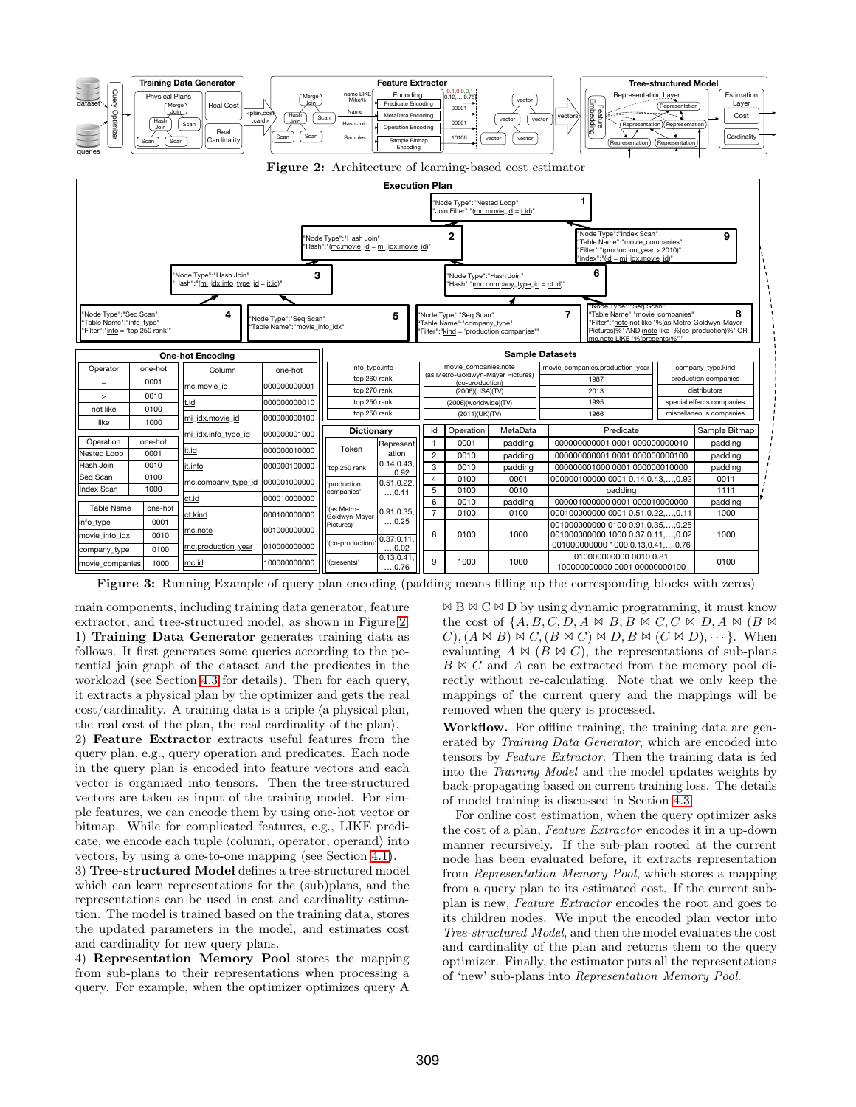<span id="page-2-1"></span><span id="page-2-0"></span>

Figure 3: Running Example of query plan encoding (padding means filling up the corresponding blocks with zeros)

main components, including training data generator, feature extractor, and tree-structured model, as shown in Figure [2.](#page-2-0) 1) Training Data Generator generates training data as follows. It first generates some queries according to the potential join graph of the dataset and the predicates in the workload (see Section [4.3](#page-5-0) for details). Then for each query, it extracts a physical plan by the optimizer and gets the real  $\cot$  cost/cardinality. A training data is a triple  $\langle a$  physical plan, the real cost of the plan, the real cardinality of the plan $\mathcal{L}$ .

2) Feature Extractor extracts useful features from the query plan, e.g., query operation and predicates. Each node in the query plan is encoded into feature vectors and each vector is organized into tensors. Then the tree-structured vectors are taken as input of the training model. For simple features, we can encode them by using one-hot vector or bitmap. While for complicated features, e.g., LIKE predicate, we encode each tuple  $\langle$  column, operator, operand $\rangle$  into vectors, by using a one-to-one mapping (see Section [4.1\)](#page-3-1).

3) Tree-structured Model defines a tree-structured model which can learn representations for the (sub)plans, and the representations can be used in cost and cardinality estimation. The model is trained based on the training data, stores the updated parameters in the model, and estimates cost and cardinality for new query plans.

4) Representation Memory Pool stores the mapping from sub-plans to their representations when processing a query. For example, when the optimizer optimizes query A

 $\bowtie$  B  $\bowtie$  C  $\bowtie$  D by using dynamic programming, it must know the cost of  $\{A, B, C, D, A \bowtie B, B \bowtie C, C \bowtie D, A \bowtie (B \bowtie A)\}$  $(C), (A \bowtie B) \bowtie C, (B \bowtie C) \bowtie D, B \bowtie (C \bowtie D), \cdots$ . When evaluating  $A \bowtie (B \bowtie C)$ , the representations of sub-plans  $B \bowtie C$  and A can be extracted from the memory pool directly without re-calculating. Note that we only keep the mappings of the current query and the mappings will be removed when the query is processed.

Workflow. For offline training, the training data are generated by Training Data Generator, which are encoded into tensors by Feature Extractor. Then the training data is fed into the Training Model and the model updates weights by back-propagating based on current training loss. The details of model training is discussed in Section [4.3.](#page-5-0)

For online cost estimation, when the query optimizer asks the cost of a plan, Feature Extractor encodes it in a up-down manner recursively. If the sub-plan rooted at the current node has been evaluated before, it extracts representation from Representation Memory Pool, which stores a mapping from a query plan to its estimated cost. If the current subplan is new, Feature Extractor encodes the root and goes to its children nodes. We input the encoded plan vector into Tree-structured Model, and then the model evaluates the cost and cardinality of the plan and returns them to the query optimizer. Finally, the estimator puts all the representations of 'new' sub-plans into Representation Memory Pool.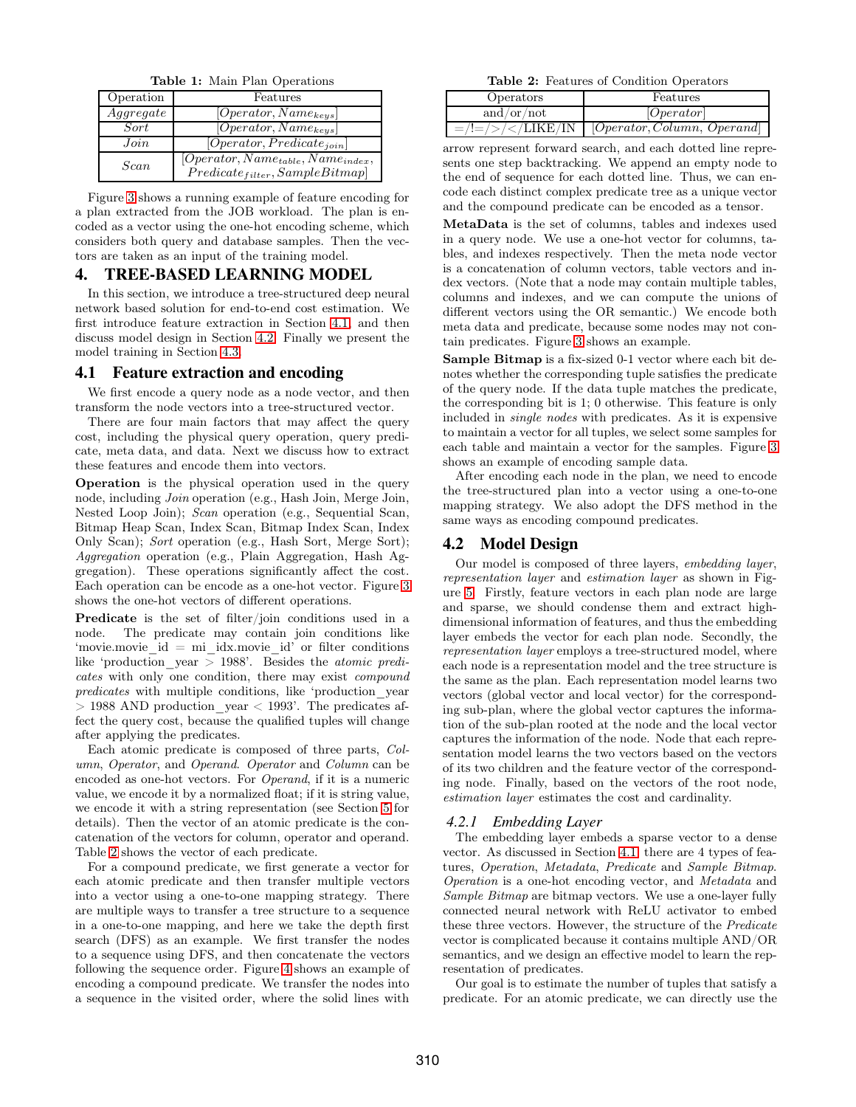Table 1: Main Plan Operations

| Operation | Features                                                                      |
|-----------|-------------------------------------------------------------------------------|
| Aggregate | $\overline{[Operator, Name_{keys}]}$                                          |
| Sort      | $[Operator, Name_{keys}]$                                                     |
| Join      | $[Operator, Predictate_{join}]$                                               |
| Scan      | $[Operator, Name_{table}, Name_{index},$<br>$Predict_{filter}, SampleBitmap]$ |

Figure [3](#page-2-1) shows a running example of feature encoding for a plan extracted from the JOB workload. The plan is encoded as a vector using the one-hot encoding scheme, which considers both query and database samples. Then the vectors are taken as an input of the training model.

#### <span id="page-3-0"></span>4. TREE-BASED LEARNING MODEL

In this section, we introduce a tree-structured deep neural network based solution for end-to-end cost estimation. We first introduce feature extraction in Section [4.1,](#page-3-1) and then discuss model design in Section [4.2.](#page-3-2) Finally we present the model training in Section [4.3.](#page-5-0)

#### <span id="page-3-1"></span>4.1 Feature extraction and encoding

We first encode a query node as a node vector, and then transform the node vectors into a tree-structured vector.

There are four main factors that may affect the query cost, including the physical query operation, query predicate, meta data, and data. Next we discuss how to extract these features and encode them into vectors.

Operation is the physical operation used in the query node, including Join operation (e.g., Hash Join, Merge Join, Nested Loop Join); Scan operation (e.g., Sequential Scan, Bitmap Heap Scan, Index Scan, Bitmap Index Scan, Index Only Scan); Sort operation (e.g., Hash Sort, Merge Sort); Aggregation operation (e.g., Plain Aggregation, Hash Aggregation). These operations significantly affect the cost. Each operation can be encode as a one-hot vector. Figure [3](#page-2-1) shows the one-hot vectors of different operations.

Predicate is the set of filter/join conditions used in a node. The predicate may contain join conditions like 'movie.movie  $id = mi$  idx.movie  $id'$  or filter conditions like 'production year  $> 1988$ '. Besides the *atomic predi*cates with only one condition, there may exist compound predicates with multiple conditions, like 'production\_year  $>$  1988 AND production year  $<$  1993'. The predicates affect the query cost, because the qualified tuples will change after applying the predicates.

Each atomic predicate is composed of three parts, Column, Operator, and Operand. Operator and Column can be encoded as one-hot vectors. For Operand, if it is a numeric value, we encode it by a normalized float; if it is string value, we encode it with a string representation (see Section [5](#page-6-0) for details). Then the vector of an atomic predicate is the concatenation of the vectors for column, operator and operand. Table [2](#page-3-3) shows the vector of each predicate.

For a compound predicate, we first generate a vector for each atomic predicate and then transfer multiple vectors into a vector using a one-to-one mapping strategy. There are multiple ways to transfer a tree structure to a sequence in a one-to-one mapping, and here we take the depth first search (DFS) as an example. We first transfer the nodes to a sequence using DFS, and then concatenate the vectors following the sequence order. Figure [4](#page-4-0) shows an example of encoding a compound predicate. We transfer the nodes into a sequence in the visited order, where the solid lines with

Table 2: Features of Condition Operators

<span id="page-3-3"></span>

| Operators      | Features                        |
|----------------|---------------------------------|
| and/or/ $not$  | [Operator]                      |
| / $=$ /! $=$ / | [Operator, Column, Operational] |

arrow represent forward search, and each dotted line represents one step backtracking. We append an empty node to the end of sequence for each dotted line. Thus, we can encode each distinct complex predicate tree as a unique vector and the compound predicate can be encoded as a tensor.

MetaData is the set of columns, tables and indexes used in a query node. We use a one-hot vector for columns, tables, and indexes respectively. Then the meta node vector is a concatenation of column vectors, table vectors and index vectors. (Note that a node may contain multiple tables, columns and indexes, and we can compute the unions of different vectors using the OR semantic.) We encode both meta data and predicate, because some nodes may not contain predicates. Figure [3](#page-2-1) shows an example.

Sample Bitmap is a fix-sized 0-1 vector where each bit denotes whether the corresponding tuple satisfies the predicate of the query node. If the data tuple matches the predicate, the corresponding bit is 1; 0 otherwise. This feature is only included in single nodes with predicates. As it is expensive to maintain a vector for all tuples, we select some samples for each table and maintain a vector for the samples. Figure [3](#page-2-1) shows an example of encoding sample data.

After encoding each node in the plan, we need to encode the tree-structured plan into a vector using a one-to-one mapping strategy. We also adopt the DFS method in the same ways as encoding compound predicates.

#### <span id="page-3-2"></span>4.2 Model Design

Our model is composed of three layers, embedding layer, representation layer and estimation layer as shown in Figure [5.](#page-4-1) Firstly, feature vectors in each plan node are large and sparse, we should condense them and extract highdimensional information of features, and thus the embedding layer embeds the vector for each plan node. Secondly, the representation layer employs a tree-structured model, where each node is a representation model and the tree structure is the same as the plan. Each representation model learns two vectors (global vector and local vector) for the corresponding sub-plan, where the global vector captures the information of the sub-plan rooted at the node and the local vector captures the information of the node. Node that each representation model learns the two vectors based on the vectors of its two children and the feature vector of the corresponding node. Finally, based on the vectors of the root node, estimation layer estimates the cost and cardinality.

#### *4.2.1 Embedding Layer*

The embedding layer embeds a sparse vector to a dense vector. As discussed in Section [4.1,](#page-3-1) there are 4 types of features, Operation, Metadata, Predicate and Sample Bitmap. Operation is a one-hot encoding vector, and Metadata and Sample Bitmap are bitmap vectors. We use a one-layer fully connected neural network with ReLU activator to embed these three vectors. However, the structure of the Predicate vector is complicated because it contains multiple AND/OR semantics, and we design an effective model to learn the representation of predicates.

Our goal is to estimate the number of tuples that satisfy a predicate. For an atomic predicate, we can directly use the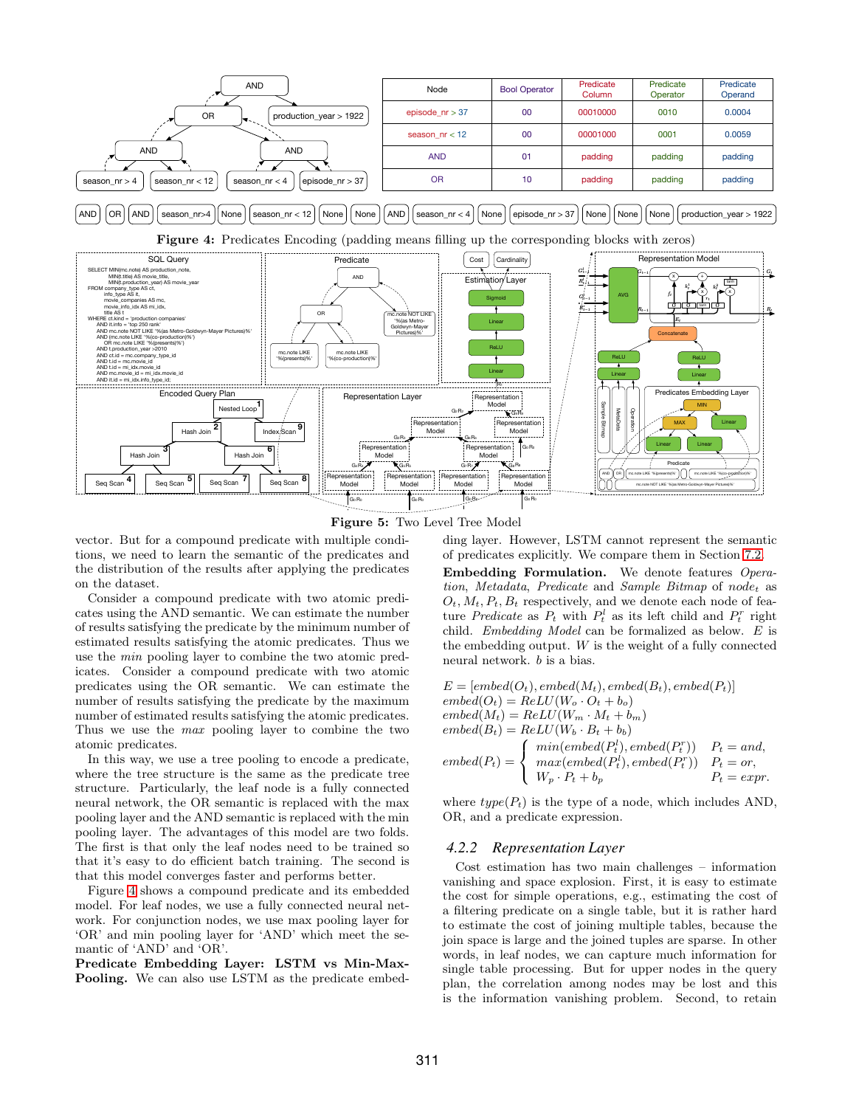<span id="page-4-1"></span><span id="page-4-0"></span>



vector. But for a compound predicate with multiple conditions, we need to learn the semantic of the predicates and the distribution of the results after applying the predicates on the dataset.

Consider a compound predicate with two atomic predicates using the AND semantic. We can estimate the number of results satisfying the predicate by the minimum number of estimated results satisfying the atomic predicates. Thus we use the min pooling layer to combine the two atomic predicates. Consider a compound predicate with two atomic predicates using the OR semantic. We can estimate the number of results satisfying the predicate by the maximum number of estimated results satisfying the atomic predicates. Thus we use the max pooling layer to combine the two atomic predicates.

In this way, we use a tree pooling to encode a predicate, where the tree structure is the same as the predicate tree structure. Particularly, the leaf node is a fully connected neural network, the OR semantic is replaced with the max pooling layer and the AND semantic is replaced with the min pooling layer. The advantages of this model are two folds. The first is that only the leaf nodes need to be trained so that it's easy to do efficient batch training. The second is that this model converges faster and performs better.

Figure [4](#page-4-0) shows a compound predicate and its embedded model. For leaf nodes, we use a fully connected neural network. For conjunction nodes, we use max pooling layer for 'OR' and min pooling layer for 'AND' which meet the semantic of 'AND' and 'OR'.

Predicate Embedding Layer: LSTM vs Min-Max-Pooling. We can also use LSTM as the predicate embedding layer. However, LSTM cannot represent the semantic of predicates explicitly. We compare them in Section [7.2.](#page-8-1)

Embedding Formulation. We denote features Operation, Metadata, Predicate and Sample Bitmap of node<sub>t</sub> as  $O_t$ ,  $M_t$ ,  $P_t$ ,  $B_t$  respectively, and we denote each node of feature *Predicate* as  $P_t$  with  $P_t^l$  as its left child and  $P_t^r$  right child. Embedding Model can be formalized as below. E is the embedding output.  $W$  is the weight of a fully connected neural network. b is a bias.

$$
E = [embed(O_t), embed(M_t), embed(B_t), embed(P_t)]
$$
  
embed(O\_t) = ReLU(W<sub>o</sub> · O<sub>t</sub> + b<sub>o</sub>)  
embed(M<sub>t</sub>) = ReLU(W<sub>m</sub> · M<sub>t</sub> + b<sub>m</sub>)  
embed(B<sub>t</sub>) = ReLU(W<sub>b</sub> · B<sub>t</sub> + b<sub>b</sub>)  
embed(P<sub>t</sub>) =   
q min(embed(P<sub>t</sub><sup>t</sup>), embed(P<sub>t</sub><sup>r</sup>)) P<sub>t</sub> = and,  
embed(P<sub>t</sub>) =   
q max(embed(P<sub>t</sub><sup>t</sup>), embed(P<sub>t</sub><sup>r</sup>)) P<sub>t</sub> = or,  
W<sub>p</sub> · P<sub>t</sub> + b<sub>p</sub> P<sub>t</sub> = expr.

where  $type(P_t)$  is the type of a node, which includes AND, OR, and a predicate expression.

#### *4.2.2 Representation Layer*

Cost estimation has two main challenges – information vanishing and space explosion. First, it is easy to estimate the cost for simple operations, e.g., estimating the cost of a filtering predicate on a single table, but it is rather hard to estimate the cost of joining multiple tables, because the join space is large and the joined tuples are sparse. In other words, in leaf nodes, we can capture much information for single table processing. But for upper nodes in the query plan, the correlation among nodes may be lost and this is the information vanishing problem. Second, to retain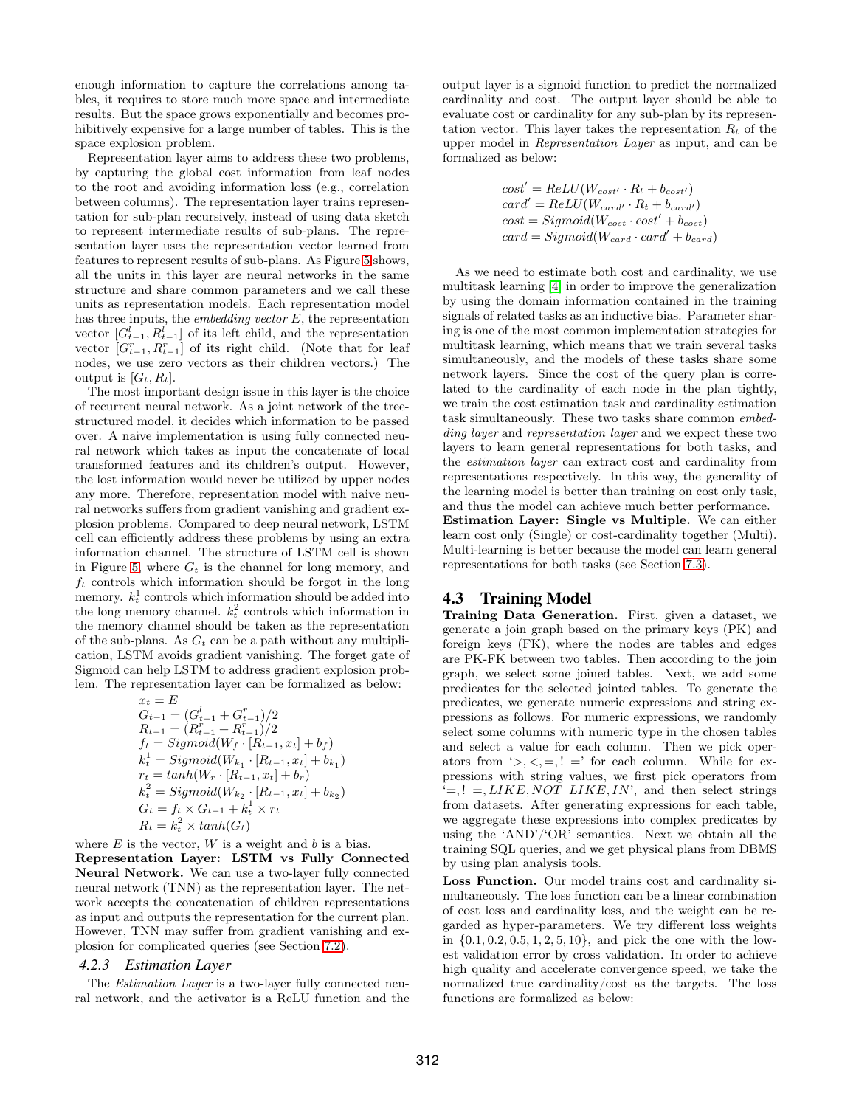enough information to capture the correlations among tables, it requires to store much more space and intermediate results. But the space grows exponentially and becomes prohibitively expensive for a large number of tables. This is the space explosion problem.

Representation layer aims to address these two problems, by capturing the global cost information from leaf nodes to the root and avoiding information loss (e.g., correlation between columns). The representation layer trains representation for sub-plan recursively, instead of using data sketch to represent intermediate results of sub-plans. The representation layer uses the representation vector learned from features to represent results of sub-plans. As Figure [5](#page-4-1) shows, all the units in this layer are neural networks in the same structure and share common parameters and we call these units as representation models. Each representation model has three inputs, the *embedding vector*  $E$ , the representation vector  $[G_{t-1}^l, R_{t-1}^l]$  of its left child, and the representation vector  $[G_{t-1}^r, R_{t-1}^r]$  of its right child. (Note that for leaf nodes, we use zero vectors as their children vectors.) The output is  $[G_t, R_t]$ .

The most important design issue in this layer is the choice of recurrent neural network. As a joint network of the treestructured model, it decides which information to be passed over. A naive implementation is using fully connected neural network which takes as input the concatenate of local transformed features and its children's output. However, the lost information would never be utilized by upper nodes any more. Therefore, representation model with naive neural networks suffers from gradient vanishing and gradient explosion problems. Compared to deep neural network, LSTM cell can efficiently address these problems by using an extra information channel. The structure of LSTM cell is shown in Figure [5,](#page-4-1) where  $G_t$  is the channel for long memory, and  $f_t$  controls which information should be forgot in the long memory.  $k_t^1$  controls which information should be added into the long memory channel.  $k_t^2$  controls which information in the memory channel should be taken as the representation of the sub-plans. As  $G_t$  can be a path without any multiplication, LSTM avoids gradient vanishing. The forget gate of Sigmoid can help LSTM to address gradient explosion problem. The representation layer can be formalized as below:

$$
x_t = E
$$
  
\n
$$
G_{t-1} = (G_{t-1}^l + G_{t-1}^r)/2
$$
  
\n
$$
R_{t-1} = (R_{t-1}^r + R_{t-1}^r)/2
$$
  
\n
$$
f_t = Sigmoid(W_f \cdot [R_{t-1}, x_t] + b_f)
$$
  
\n
$$
k_t^1 = Sigmoid(W_{k_1} \cdot [R_{t-1}, x_t] + b_{k_1})
$$
  
\n
$$
r_t = tanh(W_r \cdot [R_{t-1}, x_t] + b_r)
$$
  
\n
$$
k_t^2 = Sigmoid(W_{k_2} \cdot [R_{t-1}, x_t] + b_{k_2})
$$
  
\n
$$
G_t = f_t \times G_{t-1} + k_t^1 \times r_t
$$
  
\n
$$
R_t = k_t^2 \times tanh(G_t)
$$

where  $E$  is the vector,  $W$  is a weight and  $b$  is a bias. Representation Layer: LSTM vs Fully Connected

Neural Network. We can use a two-layer fully connected neural network (TNN) as the representation layer. The network accepts the concatenation of children representations as input and outputs the representation for the current plan. However, TNN may suffer from gradient vanishing and explosion for complicated queries (see Section [7.2\)](#page-8-1).

#### *4.2.3 Estimation Layer*

The Estimation Layer is a two-layer fully connected neural network, and the activator is a ReLU function and the output layer is a sigmoid function to predict the normalized cardinality and cost. The output layer should be able to evaluate cost or cardinality for any sub-plan by its representation vector. This layer takes the representation  $R_t$  of the upper model in Representation Layer as input, and can be formalized as below:

$$
cost' = ReLU(W_{cost'} \cdot R_t + b_{cost'})
$$
  
\n
$$
card' = ReLU(W_{card'} \cdot R_t + b_{card'})
$$
  
\n
$$
cost = Sigmoid(W_{cost} \cdot cost' + b_{cost})
$$
  
\n
$$
card = Sigmoid(W_{card} \cdot card' + b_{card})
$$

As we need to estimate both cost and cardinality, we use multitask learning [4] in order to improve the generalization by using the domain information contained in the training signals of related tasks as an inductive bias. Parameter sharing is one of the most common implementation strategies for multitask learning, which means that we train several tasks simultaneously, and the models of these tasks share some network layers. Since the cost of the query plan is correlated to the cardinality of each node in the plan tightly, we train the cost estimation task and cardinality estimation task simultaneously. These two tasks share common embedding layer and representation layer and we expect these two layers to learn general representations for both tasks, and the estimation layer can extract cost and cardinality from representations respectively. In this way, the generality of the learning model is better than training on cost only task, and thus the model can achieve much better performance. Estimation Layer: Single vs Multiple. We can either learn cost only (Single) or cost-cardinality together (Multi). Multi-learning is better because the model can learn general representations for both tasks (see Section [7.3\)](#page-9-0).

#### <span id="page-5-0"></span>4.3 Training Model

Training Data Generation. First, given a dataset, we generate a join graph based on the primary keys (PK) and foreign keys (FK), where the nodes are tables and edges are PK-FK between two tables. Then according to the join graph, we select some joined tables. Next, we add some predicates for the selected jointed tables. To generate the predicates, we generate numeric expressions and string expressions as follows. For numeric expressions, we randomly select some columns with numeric type in the chosen tables and select a value for each column. Then we pick operators from  $\langle \rangle, \langle \rangle, =, ! =$  for each column. While for expressions with string values, we first pick operators from  $\dot{=}$ ,  $! =, LIKE, NOT~LIKE, IN$ , and then select strings from datasets. After generating expressions for each table, we aggregate these expressions into complex predicates by using the 'AND'/'OR' semantics. Next we obtain all the training SQL queries, and we get physical plans from DBMS by using plan analysis tools.

Loss Function. Our model trains cost and cardinality simultaneously. The loss function can be a linear combination of cost loss and cardinality loss, and the weight can be regarded as hyper-parameters. We try different loss weights in  $\{0.1, 0.2, 0.5, 1, 2, 5, 10\}$ , and pick the one with the lowest validation error by cross validation. In order to achieve high quality and accelerate convergence speed, we take the normalized true cardinality/cost as the targets. The loss functions are formalized as below: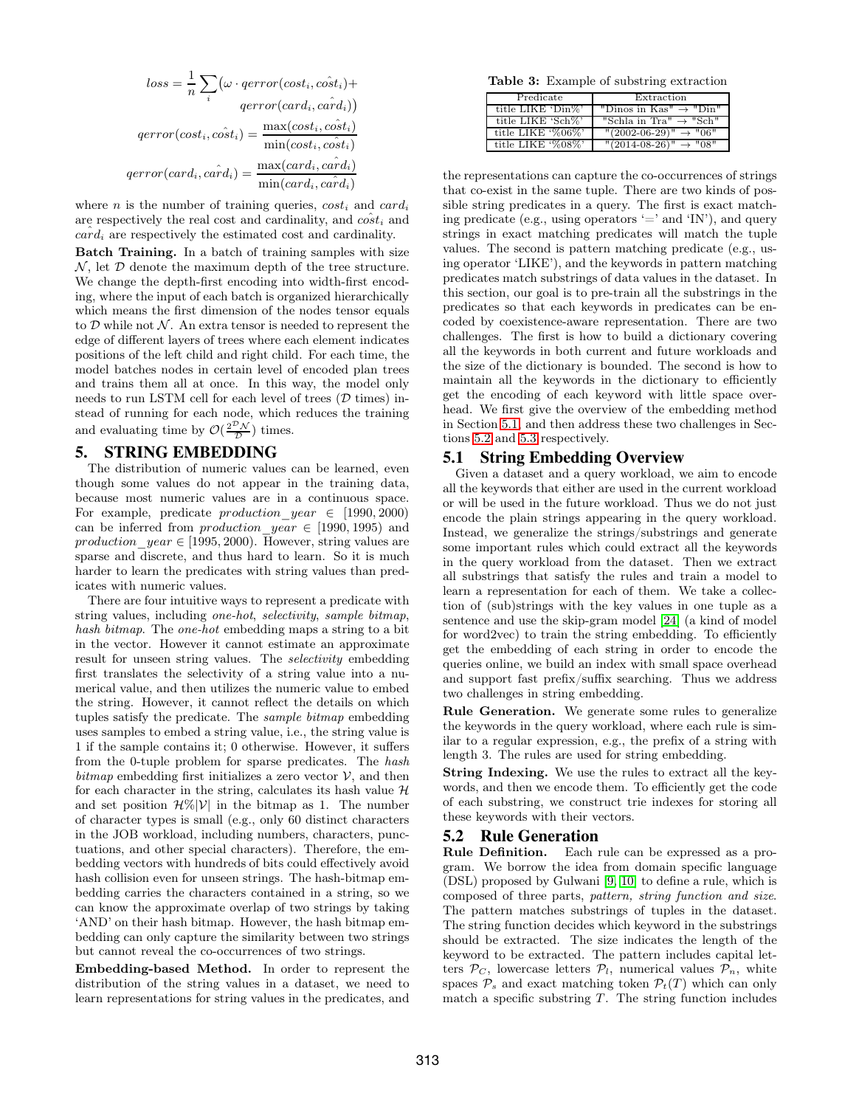$$
loss = \frac{1}{n} \sum_{i} (\omega \cdot qerror(cost_i, \hat{cost}_i) +
$$

$$
qerror(card_i, \hat{card}_i))
$$

$$
qerror(cost_i, \hat{cost}_i) = \frac{\max(cost_i, \hat{cost}_i)}{\min(cost_i, \hat{cost}_i)}
$$

$$
qerror(card_i, \hat{card}_i) = \frac{\max(card_i, \hat{card}_i)}{\min(card_i, \hat{card}_i)}
$$

where *n* is the number of training queries,  $cost_i$  and  $card_i$ are respectively the real cost and cardinality, and  $\hat{cost}_i$  and  $card_i$  are respectively the estimated cost and cardinality.

Batch Training. In a batch of training samples with size  $\mathcal{N}$ , let  $\mathcal D$  denote the maximum depth of the tree structure. We change the depth-first encoding into width-first encoding, where the input of each batch is organized hierarchically which means the first dimension of the nodes tensor equals to  $\mathcal D$  while not  $\mathcal N$ . An extra tensor is needed to represent the edge of different layers of trees where each element indicates positions of the left child and right child. For each time, the model batches nodes in certain level of encoded plan trees and trains them all at once. In this way, the model only needs to run LSTM cell for each level of trees  $(D \times)$  instead of running for each node, which reduces the training and evaluating time by  $\mathcal{O}(\frac{2^{\mathcal{D}}\mathcal{N}}{\mathcal{D}})$  times.

#### <span id="page-6-0"></span>5. STRING EMBEDDING

The distribution of numeric values can be learned, even though some values do not appear in the training data, because most numeric values are in a continuous space. For example, predicate  $production\_year \in [1990, 2000)$ can be inferred from *production* year  $\in$  [1990, 1995) and production  $year \in [1995, 2000)$ . However, string values are sparse and discrete, and thus hard to learn. So it is much harder to learn the predicates with string values than predicates with numeric values.

There are four intuitive ways to represent a predicate with string values, including one-hot, selectivity, sample bitmap, hash bitmap. The one-hot embedding maps a string to a bit in the vector. However it cannot estimate an approximate result for unseen string values. The *selectivity* embedding first translates the selectivity of a string value into a numerical value, and then utilizes the numeric value to embed the string. However, it cannot reflect the details on which tuples satisfy the predicate. The sample bitmap embedding uses samples to embed a string value, i.e., the string value is 1 if the sample contains it; 0 otherwise. However, it suffers from the 0-tuple problem for sparse predicates. The hash bitmap embedding first initializes a zero vector  $V$ , and then for each character in the string, calculates its hash value  $H$ and set position  $\mathcal{H}\%|\mathcal{V}|$  in the bitmap as 1. The number of character types is small (e.g., only 60 distinct characters in the JOB workload, including numbers, characters, punctuations, and other special characters). Therefore, the embedding vectors with hundreds of bits could effectively avoid hash collision even for unseen strings. The hash-bitmap embedding carries the characters contained in a string, so we can know the approximate overlap of two strings by taking 'AND' on their hash bitmap. However, the hash bitmap embedding can only capture the similarity between two strings but cannot reveal the co-occurrences of two strings.

Embedding-based Method. In order to represent the distribution of the string values in a dataset, we need to learn representations for string values in the predicates, and

Table 3: Example of substring extraction

| Predicate         | Extraction                           |
|-------------------|--------------------------------------|
| title LIKE 'Din%' | "Dinos in Kas" $\rightarrow$ "Din"   |
| title LIKE 'Sch%' | "Schla in Tra" $\rightarrow$ "Sch"   |
| title LIKE '%06%' | $"$ (2002-06-29)" $\rightarrow$ "06" |
| title LIKE '%08%' | $"$ (2014-08-26)" $\rightarrow$ "08" |

the representations can capture the co-occurrences of strings that co-exist in the same tuple. There are two kinds of possible string predicates in a query. The first is exact matching predicate (e.g., using operators  $\equiv$  and  $\langle \text{IN'} \rangle$ , and query strings in exact matching predicates will match the tuple values. The second is pattern matching predicate (e.g., using operator 'LIKE'), and the keywords in pattern matching predicates match substrings of data values in the dataset. In this section, our goal is to pre-train all the substrings in the predicates so that each keywords in predicates can be encoded by coexistence-aware representation. There are two challenges. The first is how to build a dictionary covering all the keywords in both current and future workloads and the size of the dictionary is bounded. The second is how to maintain all the keywords in the dictionary to efficiently get the encoding of each keyword with little space overhead. We first give the overview of the embedding method in Section [5.1,](#page-6-1) and then address these two challenges in Sections [5.2](#page-6-2) and [5.3](#page-7-0) respectively.

#### <span id="page-6-1"></span>5.1 String Embedding Overview

Given a dataset and a query workload, we aim to encode all the keywords that either are used in the current workload or will be used in the future workload. Thus we do not just encode the plain strings appearing in the query workload. Instead, we generalize the strings/substrings and generate some important rules which could extract all the keywords in the query workload from the dataset. Then we extract all substrings that satisfy the rules and train a model to learn a representation for each of them. We take a collection of (sub)strings with the key values in one tuple as a sentence and use the skip-gram model [24] (a kind of model for word2vec) to train the string embedding. To efficiently get the embedding of each string in order to encode the queries online, we build an index with small space overhead and support fast prefix/suffix searching. Thus we address two challenges in string embedding.

Rule Generation. We generate some rules to generalize the keywords in the query workload, where each rule is similar to a regular expression, e.g., the prefix of a string with length 3. The rules are used for string embedding.

String Indexing. We use the rules to extract all the keywords, and then we encode them. To efficiently get the code of each substring, we construct trie indexes for storing all these keywords with their vectors.

#### <span id="page-6-2"></span>5.2 Rule Generation

Rule Definition. Each rule can be expressed as a program. We borrow the idea from domain specific language (DSL) proposed by Gulwani [9, 10] to define a rule, which is composed of three parts, pattern, string function and size. The pattern matches substrings of tuples in the dataset. The string function decides which keyword in the substrings should be extracted. The size indicates the length of the keyword to be extracted. The pattern includes capital letters  $P_C$ , lowercase letters  $P_l$ , numerical values  $P_n$ , white spaces  $\mathcal{P}_s$  and exact matching token  $\mathcal{P}_t(T)$  which can only match a specific substring  $T$ . The string function includes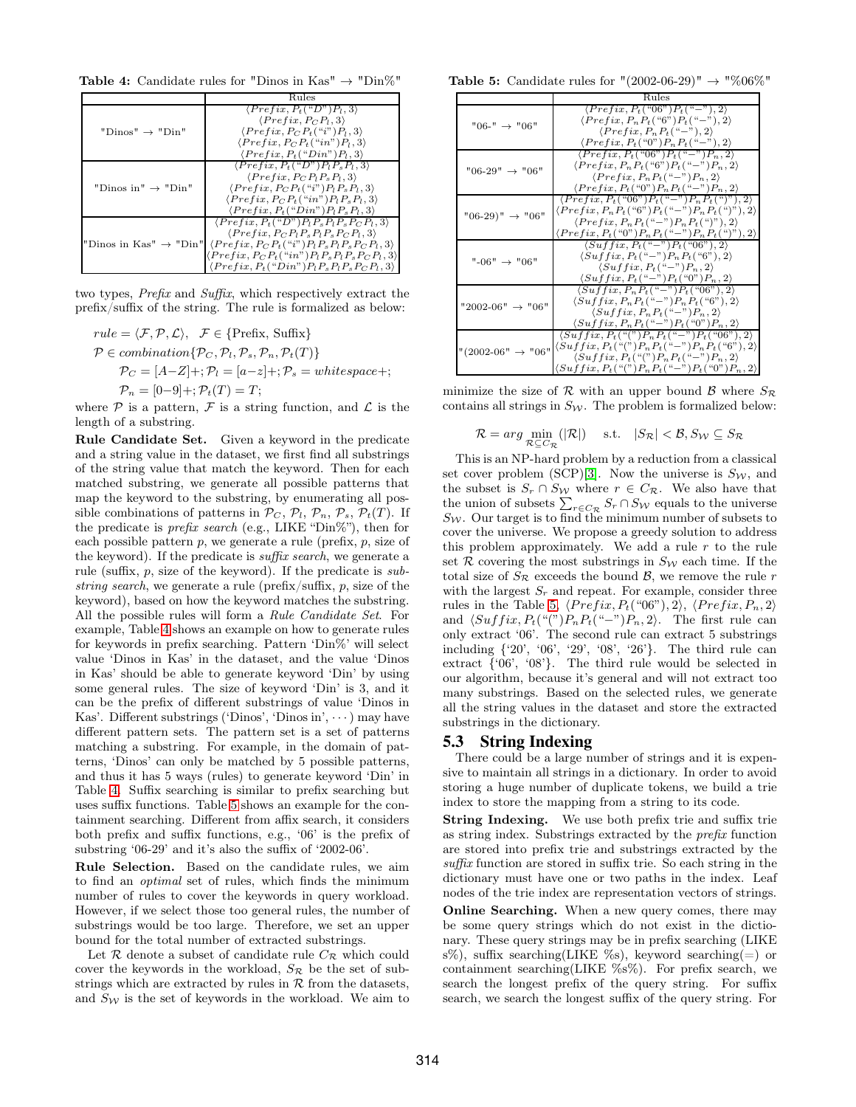<span id="page-7-1"></span>**Table 4:** Candidate rules for "Dinos in Kas"  $\rightarrow$  "Din%"



two types, Prefix and Suffix, which respectively extract the prefix/suffix of the string. The rule is formalized as below:

$$
rule = \langle \mathcal{F}, \mathcal{P}, \mathcal{L} \rangle, \quad \mathcal{F} \in \{ \text{Prefix, Suffix} \}
$$
  
\n
$$
\mathcal{P} \in combination\{ \mathcal{P}_C, \mathcal{P}_1, \mathcal{P}_s, \mathcal{P}_n, \mathcal{P}_t(T) \}
$$
  
\n
$$
\mathcal{P}_C = [A-Z] +; \mathcal{P}_l = [a-z] +; \mathcal{P}_s = whitespace +;
$$
  
\n
$$
\mathcal{P}_n = [0-9] +; \mathcal{P}_t(T) = T;
$$

where  $P$  is a pattern,  $F$  is a string function, and  $\mathcal L$  is the length of a substring.

Rule Candidate Set. Given a keyword in the predicate and a string value in the dataset, we first find all substrings of the string value that match the keyword. Then for each matched substring, we generate all possible patterns that map the keyword to the substring, by enumerating all possible combinations of patterns in  $\mathcal{P}_C$ ,  $\mathcal{P}_l$ ,  $\mathcal{P}_n$ ,  $\mathcal{P}_s$ ,  $\mathcal{P}_t(T)$ . If the predicate is *prefix search* (e.g., LIKE " $Dim\%$ "), then for each possible pattern  $p$ , we generate a rule (prefix,  $p$ , size of the keyword). If the predicate is suffix search, we generate a rule (suffix, p, size of the keyword). If the predicate is substring search, we generate a rule ( $\text{prefix/suffix}, p$ , size of the keyword), based on how the keyword matches the substring. All the possible rules will form a Rule Candidate Set. For example, Table [4](#page-7-1) shows an example on how to generate rules for keywords in prefix searching. Pattern 'Din%' will select value 'Dinos in Kas' in the dataset, and the value 'Dinos in Kas' should be able to generate keyword 'Din' by using some general rules. The size of keyword 'Din' is 3, and it can be the prefix of different substrings of value 'Dinos in Kas'. Different substrings ('Dinos', 'Dinos in',  $\cdots$ ) may have different pattern sets. The pattern set is a set of patterns matching a substring. For example, in the domain of patterns, 'Dinos' can only be matched by 5 possible patterns, and thus it has 5 ways (rules) to generate keyword 'Din' in Table [4.](#page-7-1) Suffix searching is similar to prefix searching but uses suffix functions. Table [5](#page-7-2) shows an example for the containment searching. Different from affix search, it considers both prefix and suffix functions, e.g., '06' is the prefix of substring '06-29' and it's also the suffix of '2002-06'.

Rule Selection. Based on the candidate rules, we aim to find an optimal set of rules, which finds the minimum number of rules to cover the keywords in query workload. However, if we select those too general rules, the number of substrings would be too large. Therefore, we set an upper bound for the total number of extracted substrings.

Let  $\mathcal R$  denote a subset of candidate rule  $C_{\mathcal R}$  which could cover the keywords in the workload,  $S_{\mathcal{R}}$  be the set of substrings which are extracted by rules in  $R$  from the datasets, and  $S_W$  is the set of keywords in the workload. We aim to

<span id="page-7-2"></span>**Table 5:** Candidate rules for "(2002-06-29)" → "%06%"

|                               | Rules                                                                                                              |
|-------------------------------|--------------------------------------------------------------------------------------------------------------------|
|                               | $\langle Prefix, P_t("06") P_t("-"), 2 \rangle$                                                                    |
| $"06-" \rightarrow "06"$      | $\langle Prefix, P_n P_t("6") P_t("-"), 2 \rangle$                                                                 |
|                               | $\langle Prefix, P_nP_t(\text{``-''}), 2 \rangle$                                                                  |
|                               | $\langle Prefix, P_t({}``0") P_n P_t({} ``-") , 2 \rangle$                                                         |
|                               | $\langle Prefix, P_t("06") P_t("-") P_n, 2 \rangle$                                                                |
| $"06-29" \rightarrow "06"$    | $\langle Prefix, P_n P_t("6") P_t("-") P_n, 2 \rangle$                                                             |
|                               | $\langle Prefix, P_nP_t(\text{``-''})P_n, 2 \rangle$                                                               |
|                               | $\langle Prefix, P_t({}``0") P_n P_t({} ``-") P_n, 2 \rangle$                                                      |
|                               | $\langle Prefix, \overline{P_t({}^\omega 06\degree) P_t({}^\omega - \degree) P_n P_t({}^\omega)^n}, 2 \rangle$     |
| $"06-29)" \rightarrow "06"$   | $\langle Prefix, P_n P_t("6") P_t("-") P_n P_t("") \rangle$                                                        |
|                               | $\langle Prefix, P_n P_t("-") P_n P_t("") \rangle$                                                                 |
|                               | $\langle Prefix, P_t({}``0") P_n P_t({} ``-") P_n P_t({} ``)" ) , 2 \rangle$                                       |
|                               | $\langle Suffix, P_t("-")P_t("06"), 2 \rangle$                                                                     |
| $"$ -06" $\rightarrow$ "06"   | $\langle Suffix, P_t("-")P_n P_t("6")$ , 2)                                                                        |
|                               | $\langle Suffix, P_t("-")P_n, 2 \rangle$                                                                           |
|                               | $\langle Suffix, P_t("-")P_t("0")P_n, 2 \rangle$                                                                   |
|                               | $\langle Suffix, P_n P_t("-") P_t("06"), 2 \rangle$                                                                |
| $"2002-06" \rightarrow "06"$  | $\langle Suffix, P_n P_t("-") P_n P_t("6") , 2 \rangle$                                                            |
|                               | $\langle Suffix, P_nP_t(\omega - \nu)P_n, 2 \rangle$                                                               |
|                               | $\langle Suffix, P_n P_t("-") P_t("0") P_n, 2 \rangle$                                                             |
|                               | $\langle Suffix, P_t({}^{\omega}({}^{\omega})P_nP_t({}^{\omega}-{}^{\omega})P_t({}^{\omega}06{\omega}), 2 \rangle$ |
| "(2002-06" $\rightarrow$ "06" | $\langle Suffix, P_t(\lq\lq) \rceil P_n P_t(\lq\lq-') P_n P_t(\lq\lq\lq) \rceil$                                   |
|                               | $\langle Suffix, P_t(\lq^n)P_n P_t(\lq-")P_n, 2 \rangle$                                                           |
|                               | $\langle Suffix, P_t({}``("")P_nP_t({} ``-")P_t({} ``0")P_n, 2 \rangle$                                            |

minimize the size of R with an upper bound B where  $S_{\mathcal{R}}$ contains all strings in  $S_W$ . The problem is formalized below:

$$
\mathcal{R} = arg \min_{\mathcal{R} \subseteq C_{\mathcal{R}}} (|\mathcal{R}|) \quad \text{s.t.} \quad |S_{\mathcal{R}}| < \mathcal{B}, S_{\mathcal{W}} \subseteq S_{\mathcal{R}}
$$

This is an NP-hard problem by a reduction from a classical set cover problem (SCP)[\[3\]](#page-12-14). Now the universe is  $S_W$ , and the subset is  $S_r \cap S_{\mathcal{W}}$  where  $r \in C_{\mathcal{R}}$ . We also have that the union of subsets  $\sum_{r \in C_{\mathcal{R}}} S_r \cap S_{\mathcal{W}}$  equals to the universe  $S_W$ . Our target is to find the minimum number of subsets to cover the universe. We propose a greedy solution to address this problem approximately. We add a rule  $r$  to the rule set  $R$  covering the most substrings in  $S_W$  each time. If the total size of  $S_{\mathcal{R}}$  exceeds the bound  $\mathcal{B}$ , we remove the rule r with the largest  $S_r$  and repeat. For example, consider three rules in the Table [5,](#page-7-2)  $\langle Prefix, P_t("06"), 2 \rangle$ ,  $\langle Prefix, P_n, 2 \rangle$ and  $\langle Suffix, P_t(\lq m)P_nP_t(\lq - \rq D_n, 2\rangle)$ . The first rule can only extract '06'. The second rule can extract 5 substrings including {'20', '06', '29', '08', '26'}. The third rule can extract {'06', '08'}. The third rule would be selected in our algorithm, because it's general and will not extract too many substrings. Based on the selected rules, we generate all the string values in the dataset and store the extracted substrings in the dictionary.

#### <span id="page-7-0"></span>5.3 String Indexing

There could be a large number of strings and it is expensive to maintain all strings in a dictionary. In order to avoid storing a huge number of duplicate tokens, we build a trie index to store the mapping from a string to its code.

String Indexing. We use both prefix trie and suffix trie as string index. Substrings extracted by the prefix function are stored into prefix trie and substrings extracted by the suffix function are stored in suffix trie. So each string in the dictionary must have one or two paths in the index. Leaf nodes of the trie index are representation vectors of strings.

Online Searching. When a new query comes, there may be some query strings which do not exist in the dictionary. These query strings may be in prefix searching (LIKE s%), suffix searching(LIKE %s), keyword searching(=) or containment searching(LIKE  $\%s\%$ ). For prefix search, we search the longest prefix of the query string. For suffix search, we search the longest suffix of the query string. For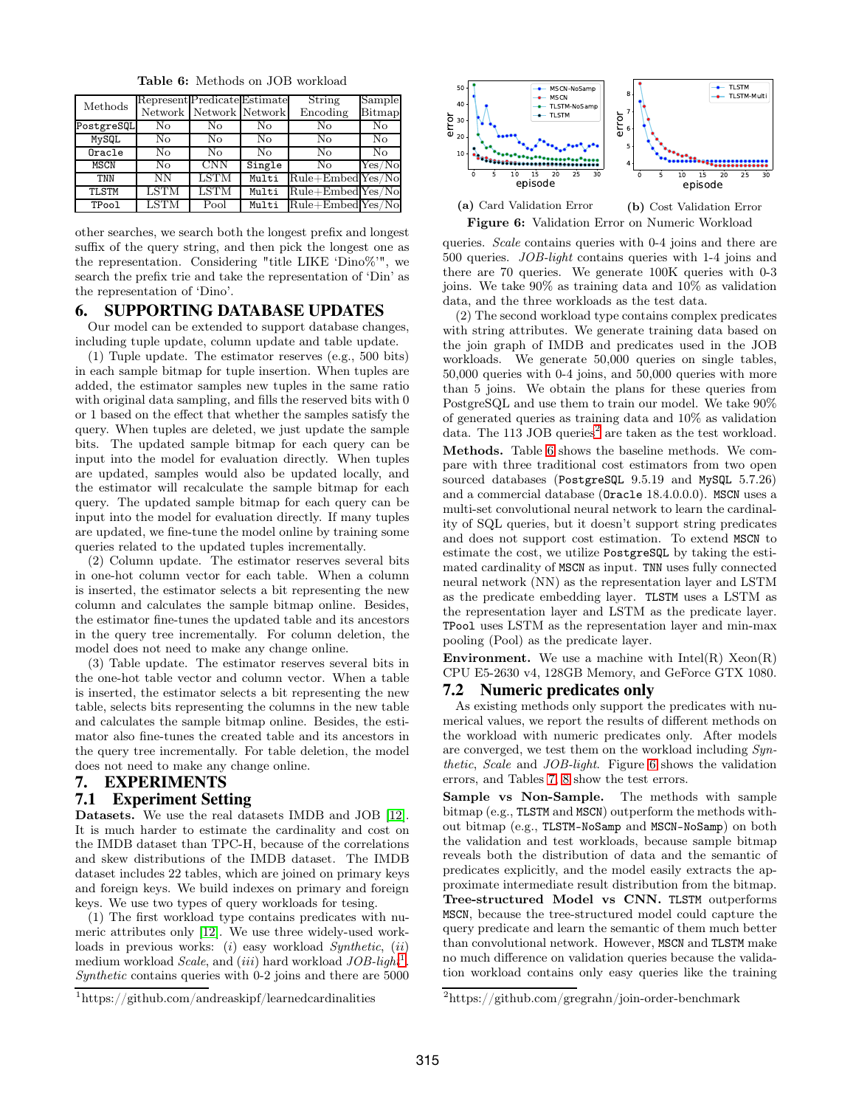Table 6: Methods on JOB workload

<span id="page-8-4"></span>

| Methods      | Represent Predicate Estimate |                         |        | String               | Sample         |
|--------------|------------------------------|-------------------------|--------|----------------------|----------------|
|              |                              | Network Network Network |        | Encoding             | Bitmap         |
| PostgreSQL   | No                           | No                      | No     | No                   | No             |
| $MV$ SQL     | No                           | No                      | No     | No                   | No             |
| Oracle       | No                           | No                      | No     | No                   | N <sub>o</sub> |
| <b>MSCN</b>  | No                           | <b>CNN</b>              | Single | No                   | Yes/No         |
| <b>TNN</b>   | NΝ                           | <b>LSTM</b>             | Multi  | $Rule+EmbedYes/No$   |                |
| <b>TLSTM</b> | LSTM                         | LSTM                    | Multi  | $Rule + EmbedYes/No$ |                |
| TPool        | LSTM                         | Pool                    | Multi  | $Rule+EmbedYes/No$   |                |

other searches, we search both the longest prefix and longest suffix of the query string, and then pick the longest one as the representation. Considering "title LIKE 'Dino%'", we search the prefix trie and take the representation of 'Din' as the representation of 'Dino'.

#### <span id="page-8-6"></span>6. SUPPORTING DATABASE UPDATES

Our model can be extended to support database changes, including tuple update, column update and table update.

(1) Tuple update. The estimator reserves (e.g., 500 bits) in each sample bitmap for tuple insertion. When tuples are added, the estimator samples new tuples in the same ratio with original data sampling, and fills the reserved bits with 0 or 1 based on the effect that whether the samples satisfy the query. When tuples are deleted, we just update the sample bits. The updated sample bitmap for each query can be input into the model for evaluation directly. When tuples are updated, samples would also be updated locally, and the estimator will recalculate the sample bitmap for each query. The updated sample bitmap for each query can be input into the model for evaluation directly. If many tuples are updated, we fine-tune the model online by training some queries related to the updated tuples incrementally.

(2) Column update. The estimator reserves several bits in one-hot column vector for each table. When a column is inserted, the estimator selects a bit representing the new column and calculates the sample bitmap online. Besides, the estimator fine-tunes the updated table and its ancestors in the query tree incrementally. For column deletion, the model does not need to make any change online.

(3) Table update. The estimator reserves several bits in the one-hot table vector and column vector. When a table is inserted, the estimator selects a bit representing the new table, selects bits representing the columns in the new table and calculates the sample bitmap online. Besides, the estimator also fine-tunes the created table and its ancestors in the query tree incrementally. For table deletion, the model does not need to make any change online.

#### <span id="page-8-0"></span>7. EXPERIMENTS 7.1 Experiment Setting

Datasets. We use the real datasets IMDB and JOB [12]. It is much harder to estimate the cardinality and cost on the IMDB dataset than TPC-H, because of the correlations and skew distributions of the IMDB dataset. The IMDB dataset includes 22 tables, which are joined on primary keys and foreign keys. We build indexes on primary and foreign keys. We use two types of query workloads for tesing.

(1) The first workload type contains predicates with numeric attributes only [12]. We use three widely-used workloads in previous works:  $(i)$  easy workload Synthetic,  $(ii)$ medium workload Scale, and  $(iii)$  hard workload  $JOB$ -light<sup>[1](#page-8-2)</sup>. Synthetic contains queries with 0-2 joins and there are 5000

<span id="page-8-2"></span>

<span id="page-8-5"></span>

#### (a) Card Validation Error (b) Cost Validation Error Figure 6: Validation Error on Numeric Workload

queries. Scale contains queries with 0-4 joins and there are 500 queries. JOB-light contains queries with 1-4 joins and there are 70 queries. We generate 100K queries with 0-3 joins. We take 90% as training data and 10% as validation data, and the three workloads as the test data.

(2) The second workload type contains complex predicates with string attributes. We generate training data based on the join graph of IMDB and predicates used in the JOB workloads. We generate 50,000 queries on single tables, 50,000 queries with 0-4 joins, and 50,000 queries with more than 5 joins. We obtain the plans for these queries from PostgreSQL and use them to train our model. We take 90% of generated queries as training data and 10% as validation data. The 113 JOB queries<sup>[2](#page-8-3)</sup> are taken as the test workload. Methods. Table [6](#page-8-4) shows the baseline methods. We compare with three traditional cost estimators from two open sourced databases (PostgreSQL 9.5.19 and MySQL 5.7.26) and a commercial database (Oracle 18.4.0.0.0). MSCN uses a multi-set convolutional neural network to learn the cardinality of SQL queries, but it doesn't support string predicates and does not support cost estimation. To extend MSCN to estimate the cost, we utilize PostgreSQL by taking the estimated cardinality of MSCN as input. TNN uses fully connected neural network (NN) as the representation layer and LSTM as the predicate embedding layer. TLSTM uses a LSTM as the representation layer and LSTM as the predicate layer. TPool uses LSTM as the representation layer and min-max pooling (Pool) as the predicate layer.

**Environment.** We use a machine with  $Intel(R)$   $Xeon(R)$ CPU E5-2630 v4, 128GB Memory, and GeForce GTX 1080.

#### <span id="page-8-1"></span>7.2 Numeric predicates only

As existing methods only support the predicates with numerical values, we report the results of different methods on the workload with numeric predicates only. After models are converged, we test them on the workload including Synthetic, Scale and JOB-light. Figure [6](#page-8-5) shows the validation errors, and Tables [7,](#page-9-1) [8](#page-9-2) show the test errors.

Sample vs Non-Sample. The methods with sample bitmap (e.g., TLSTM and MSCN) outperform the methods without bitmap (e.g., TLSTM-NoSamp and MSCN-NoSamp) on both the validation and test workloads, because sample bitmap reveals both the distribution of data and the semantic of predicates explicitly, and the model easily extracts the approximate intermediate result distribution from the bitmap. Tree-structured Model vs CNN. TLSTM outperforms MSCN, because the tree-structured model could capture the query predicate and learn the semantic of them much better than convolutional network. However, MSCN and TLSTM make no much difference on validation queries because the validation workload contains only easy queries like the training

<span id="page-8-3"></span> $2$ https://github.com/gregrahn/join-order-benchmark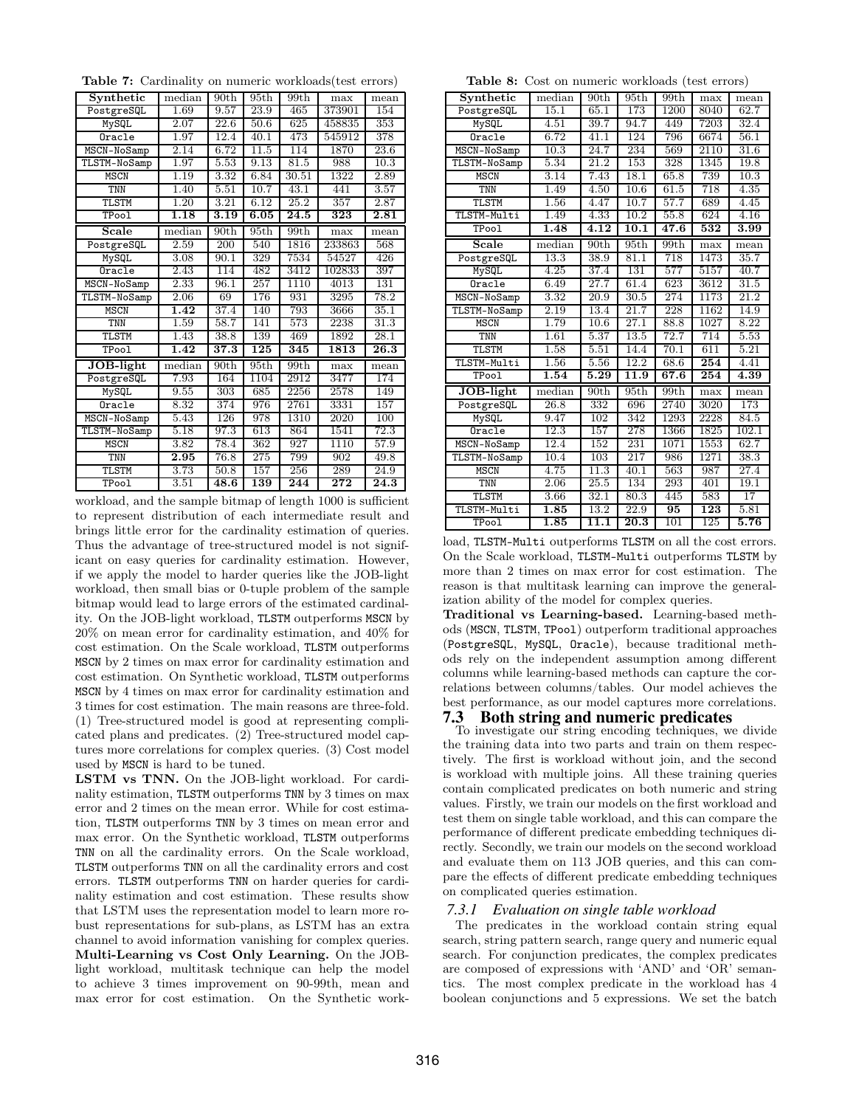<span id="page-9-1"></span>Table 7: Cardinality on numeric workloads(test errors)

| Synthetic    | median            | 90th              | 95th | 99th              | max              | mean              |
|--------------|-------------------|-------------------|------|-------------------|------------------|-------------------|
| PostgreSQL   | 1.69              | 9.57              | 23.9 | 465               | 373901           | 154               |
| MySQL        | 2.07              | 22.6              | 50.6 | 625               | 458835           | 353               |
| Oracle       | 1.97              | 12.4              | 40.1 | 473               | 545912           | 378               |
| MSCN-NoSamp  | 2.14              | 6.72              | 11.5 | 114               | 1870             | 23.6              |
| TLSTM-NoSamp | 1.97              | 5.53              | 9.13 | 81.5              | 988              | 10.3              |
| MSCN         | 1.19              | 3.32              | 6.84 | 30.51             | 1322             | 2.89              |
| TNN          | 1.40              | 5.51              | 10.7 | 43.1              | 441              | 3.57              |
| TLSTM        | 1.20              | 3.21              | 6.12 | 25.2              | 357              | 2.87              |
| TPool        | $\overline{1.18}$ | $\overline{3.19}$ | 6.05 | $\overline{24.5}$ | $\overline{323}$ | $\overline{2.81}$ |
| Scale        | median            | 90th              | 95th | 99th              | max              | mean              |
| PostgreSQL   | 2.59              | 200               | 540  | 1816              | 233863           | 568               |
| MySQL        | 3.08              | 90.1              | 329  | 7534              | 54527            | 426               |
| Oracle       | 2.43              | 114               | 482  | 3412              | 102833           | 397               |
| MSCN-NoSamp  | 2.33              | 96.1              | 257  | $\overline{11}10$ | 4013             | 131               |
| TLSTM-NoSamp | 2.06              | 69                | 176  | 931               | 3295             | 78.2              |
| MSCN         | 1.42              | 37.4              | 140  | 793               | 3666             | 35.1              |
| <b>TNN</b>   | 1.59              | 58.7              | 141  | 573               | 2238             | 31.3              |
| TLSTM        | 1.43              | 38.8              | 139  | 469               | 1892             | 28.1              |
| TPool        | 1.42              | 37.3              | 125  | 345               | 1813             | 26.3              |
| JOB-light    | median            | 90th              | 95th | 99th              | max              | mean              |
| PostgreSQL   | 7.93              | 164               | 1104 | 2912              | 3477             | 174               |
| MySQL        | 9.55              | 303               | 685  | 2256              | 2578             | 149               |
| Oracle       | 8.32              | 374               | 976  | 2761              | 3331             | 157               |
| MSCN-NoSamp  | 5.43              | 126               | 978  | 1310              | 2020             | 100               |
| TLSTM-NoSamp | 5.18              | 97.3              | 613  | 864               | 1541             | 72.3              |
| <b>MSCN</b>  | 3.82              | 78.4              | 362  | 927               | 1110             | 57.9              |
| <b>TNN</b>   | 2.95              | 76.8              | 275  | 799               | 902              | 49.8              |
| <b>TLSTM</b> | 3.73              | 50.8              | 157  | 256               | 289              | 24.9              |
| TPool        | 3.51              | 48.6              | 139  | 244               | 272              | $\overline{24.3}$ |

workload, and the sample bitmap of length 1000 is sufficient to represent distribution of each intermediate result and brings little error for the cardinality estimation of queries. Thus the advantage of tree-structured model is not significant on easy queries for cardinality estimation. However, if we apply the model to harder queries like the JOB-light workload, then small bias or 0-tuple problem of the sample bitmap would lead to large errors of the estimated cardinality. On the JOB-light workload, TLSTM outperforms MSCN by 20% on mean error for cardinality estimation, and 40% for cost estimation. On the Scale workload, TLSTM outperforms MSCN by 2 times on max error for cardinality estimation and cost estimation. On Synthetic workload, TLSTM outperforms MSCN by 4 times on max error for cardinality estimation and 3 times for cost estimation. The main reasons are three-fold. (1) Tree-structured model is good at representing complicated plans and predicates. (2) Tree-structured model captures more correlations for complex queries. (3) Cost model used by MSCN is hard to be tuned.

LSTM vs TNN. On the JOB-light workload. For cardinality estimation, TLSTM outperforms TNN by 3 times on max error and 2 times on the mean error. While for cost estimation, TLSTM outperforms TNN by 3 times on mean error and max error. On the Synthetic workload, TLSTM outperforms TNN on all the cardinality errors. On the Scale workload, TLSTM outperforms TNN on all the cardinality errors and cost errors. TLSTM outperforms TNN on harder queries for cardinality estimation and cost estimation. These results show that LSTM uses the representation model to learn more robust representations for sub-plans, as LSTM has an extra channel to avoid information vanishing for complex queries. Multi-Learning vs Cost Only Learning. On the JOBlight workload, multitask technique can help the model to achieve 3 times improvement on 90-99th, mean and max error for cost estimation. On the Synthetic work-

<span id="page-9-2"></span>Table 8: Cost on numeric workloads (test errors)

| <i><u>normoute</u></i> ( <i>cope</i> criore) |                   |                   |                   |                   |                                        |                   |  |  |  |  |
|----------------------------------------------|-------------------|-------------------|-------------------|-------------------|----------------------------------------|-------------------|--|--|--|--|
| Synthetic                                    | median            | 90 <sub>th</sub>  | 95th              | 99th              | max                                    | mean              |  |  |  |  |
| PostgreSQL                                   | 15.1              | 65.1              | 173               | 1200              | 8040                                   | 62.7              |  |  |  |  |
| MySQL                                        | 4.51              | 39.7              | 94.7              | 449               | 7203                                   | 32.4              |  |  |  |  |
| Oracle                                       | 6.72              | 41.1              | 124               | 796               | 6674                                   | 56.1              |  |  |  |  |
| MSCN-NoSamp                                  | 10.3              | 24.7              | 234               | 569               | 2110                                   | $\overline{31.6}$ |  |  |  |  |
| TLSTM-NoSamp                                 | 5.34              | 21.2              | 153               | 328               | 1345                                   | 19.8              |  |  |  |  |
| <b>MSCN</b>                                  | 3.14              | 7.43              | 18.1              | 65.8              | 739                                    | 10.3              |  |  |  |  |
| TNN                                          | 1.49              | 4.50              | 10.6              | 61.5              | 718                                    | 4.35              |  |  |  |  |
| TLSTM                                        | 1.56              | 4.47              | 10.7              | 57.7              | 689                                    | 4.45              |  |  |  |  |
| TLSTM-Multi                                  | 1.49              | 4.33              | 10.2              | 55.8              | 624                                    | 4.16              |  |  |  |  |
| TPool                                        | $\overline{1.48}$ | $\overline{4.12}$ | 10.1              | $\overline{47.6}$ | 532                                    | $\overline{3.99}$ |  |  |  |  |
| Scale                                        | median            | 90 <sub>th</sub>  | 95th              | 99th              | max                                    | mean              |  |  |  |  |
| PostgreSQL                                   | 13.3              | 38.9              | 81.1              | 718               | 1473                                   | 35.7              |  |  |  |  |
| MySQL                                        | 4.25              | 37.4              | 131               | 577               | 5157                                   | 40.7              |  |  |  |  |
| Oracle                                       | 6.49              | 27.7              | 61.4              | 623               | 3612                                   | 31.5              |  |  |  |  |
| MSCN-NoSamp                                  | 3.32              | 20.9              | 30.5              | 274               | 1173                                   | 21.2              |  |  |  |  |
| TLSTM-NoSamp                                 | 2.19              | 13.4              | $\overline{21.7}$ | 228               | 1162                                   | 14.9              |  |  |  |  |
| <b>MSCN</b>                                  | 1.79              | 10.6              | $\overline{27.1}$ | 88.8              | 1027                                   | 8.22              |  |  |  |  |
| TNN                                          | 1.61              | 5.37              | 13.5              | 72.7              | 714                                    | 5.53              |  |  |  |  |
| TLSTM                                        | 1.58              | 5.51              | 14.4              | 70.1              | 611                                    | 5.21              |  |  |  |  |
| TLSTM-Multi                                  | 1.56              | 5.56              | 12.2              | 68.6              | $\overline{254}$                       | 4.41              |  |  |  |  |
| TPool                                        | $1.\overline{54}$ | 5.29              | $\overline{11.9}$ | 67.6              | 254                                    | $\overline{4.39}$ |  |  |  |  |
| JOB-light                                    | median            | 90th              | 95th              | 99th              | max                                    | mean              |  |  |  |  |
| PostgreSQL                                   | 26.8              | 332               | 696               | 2740              | 3020                                   | 173               |  |  |  |  |
| MySQL                                        | 9.47              | 102               | 342               | 1293              | 2228                                   | 84.5              |  |  |  |  |
| Oracle                                       | 12.3              | 157               | 278               | 1366              | 1825                                   | 102.1             |  |  |  |  |
| MSCN-NoSamp                                  | 12.4              | 152               | 231               | 1071              | 1553                                   | 62.7              |  |  |  |  |
| TLSTM-NoSamp                                 | 10.4              | 103               | 217               | 986               | 1271                                   | 38.3              |  |  |  |  |
| <b>MSCN</b>                                  | 4.75              | $\overline{11.3}$ | 40.1              | 563               | 987                                    | 27.4              |  |  |  |  |
| TNN                                          | 2.06              | 25.5              | 134               | 293               | 401                                    | 19.1              |  |  |  |  |
| TLSTM                                        | 3.66              | 32.1              | 80.3              | 445               | 583                                    | 17                |  |  |  |  |
| TLSTM-Multi                                  | $\overline{1.85}$ | 13.2              | 22.9              | 95                | $\overline{1}\overline{2}\overline{3}$ | 5.81              |  |  |  |  |
| TPool                                        | $\overline{1.85}$ | 11.1              | $\overline{20.3}$ | 101               | 125                                    | 5.76              |  |  |  |  |
|                                              |                   |                   |                   |                   |                                        |                   |  |  |  |  |

load, TLSTM-Multi outperforms TLSTM on all the cost errors. On the Scale workload, TLSTM-Multi outperforms TLSTM by more than 2 times on max error for cost estimation. The reason is that multitask learning can improve the generalization ability of the model for complex queries.

Traditional vs Learning-based. Learning-based methods (MSCN, TLSTM, TPool) outperform traditional approaches (PostgreSQL, MySQL, Oracle), because traditional methods rely on the independent assumption among different columns while learning-based methods can capture the correlations between columns/tables. Our model achieves the best performance, as our model captures more correlations.

#### <span id="page-9-0"></span>7.3 Both string and numeric predicates

To investigate our string encoding techniques, we divide the training data into two parts and train on them respectively. The first is workload without join, and the second is workload with multiple joins. All these training queries contain complicated predicates on both numeric and string values. Firstly, we train our models on the first workload and test them on single table workload, and this can compare the performance of different predicate embedding techniques directly. Secondly, we train our models on the second workload and evaluate them on 113 JOB queries, and this can compare the effects of different predicate embedding techniques on complicated queries estimation.

#### *7.3.1 Evaluation on single table workload*

The predicates in the workload contain string equal search, string pattern search, range query and numeric equal search. For conjunction predicates, the complex predicates are composed of expressions with 'AND' and 'OR' semantics. The most complex predicate in the workload has 4 boolean conjunctions and 5 expressions. We set the batch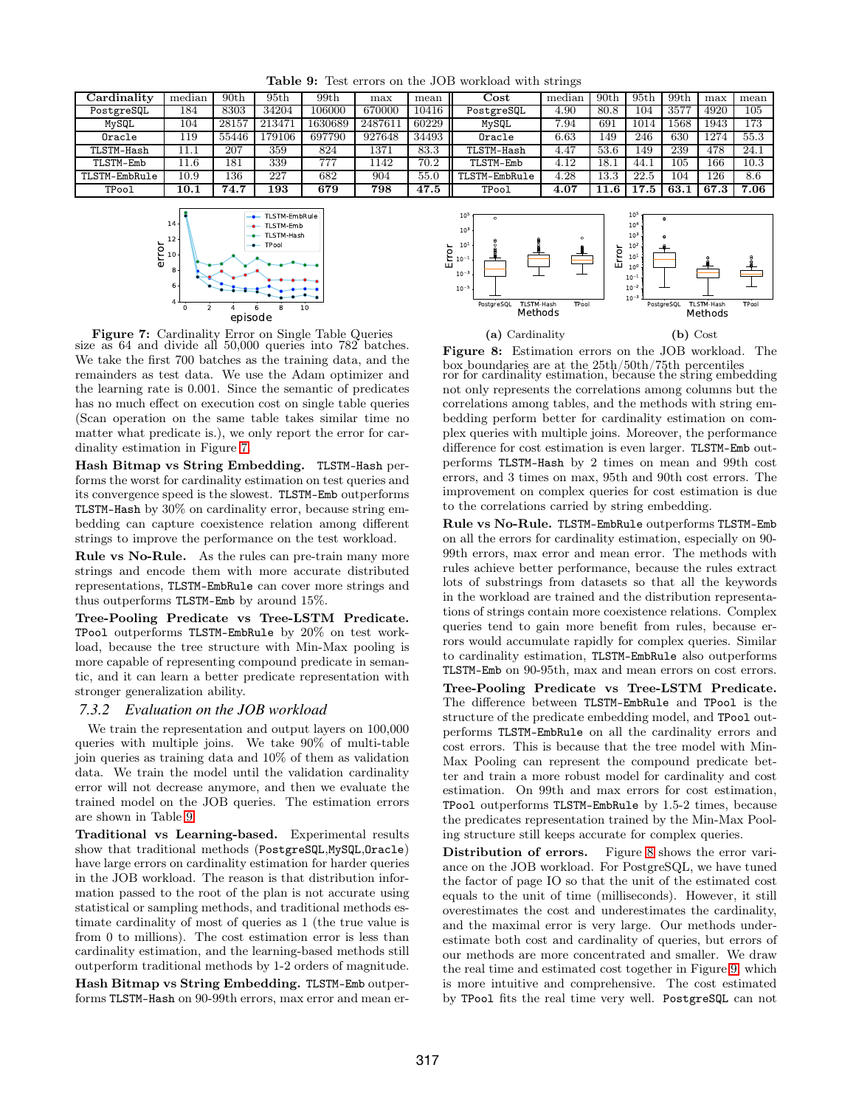<span id="page-10-1"></span>

| $\rm Cardinality$ | median   | 90 <sub>th</sub> | $95{\rm th}$ | 99th    | max     | mean  | $\rm Cost$    | median | 90 <sub>th</sub> | 95 <sub>th</sub> | 99th   | max  | mean |
|-------------------|----------|------------------|--------------|---------|---------|-------|---------------|--------|------------------|------------------|--------|------|------|
| PostgreSQL        | 184      | 8303             | 34204        | 106000  | 670000  | 10416 | PostgreSQL    | 4.90   | 80.8             |                  | 3577   | 4920 | 105  |
| MySQL             | 104      | 28157            | 213471       | 1630689 | 2487611 | 60229 | MySQL         | 7.94   | 691              |                  | 1568   | 1943 | 173  |
| Oracle            | 119      | 55446            | 79106        | 697790  | 927648  | 34493 | Oracle        | 6.63   | 49               | 246              | 630    | 1274 | 55.3 |
| TLSTM-Hash        | 11.1     | 207              | 359          | 824     | 1371    | 83.3  | TLSTM-Hash    | 4.47   | 53.6             | 49               | 239    | 478  | 24.1 |
| TLSTM-Emb         | 11.6     | 181              | 339          | 777     | 1142    | 70.2  | TLSTM-Emb     | 4.12   |                  | 44.              | 105    | 166  | 10.3 |
| TLSTM-EmbRule     | 10.9     | 136              | 227          | 682     | 904     | 55.0  | TLSTM-EmbRule | 4.28   | 13.3             | 22.5             | 104    | 126  | 8.6  |
| TPool             | $10.1\,$ | 74.7             | 193          | 679     | 798     | 47.5  | TPool         | 4.07   |                  |                  | $-63.$ | 67.3 | 7.06 |

Table 9: Test errors on the JOB workload with strings

<span id="page-10-0"></span>

Figure 7: Cardinality Error on Single Table Queries size as 64 and divide all 50,000 queries into 782 batches. We take the first 700 batches as the training data, and the remainders as test data. We use the Adam optimizer and the learning rate is 0.001. Since the semantic of predicates has no much effect on execution cost on single table queries (Scan operation on the same table takes similar time no matter what predicate is.), we only report the error for cardinality estimation in Figure [7.](#page-10-0)

Hash Bitmap vs String Embedding. TLSTM-Hash performs the worst for cardinality estimation on test queries and its convergence speed is the slowest. TLSTM-Emb outperforms TLSTM-Hash by 30% on cardinality error, because string embedding can capture coexistence relation among different strings to improve the performance on the test workload.

Rule vs No-Rule. As the rules can pre-train many more strings and encode them with more accurate distributed representations, TLSTM-EmbRule can cover more strings and thus outperforms TLSTM-Emb by around 15%.

Tree-Pooling Predicate vs Tree-LSTM Predicate. TPool outperforms TLSTM-EmbRule by 20% on test workload, because the tree structure with Min-Max pooling is more capable of representing compound predicate in semantic, and it can learn a better predicate representation with stronger generalization ability.

#### *7.3.2 Evaluation on the JOB workload*

We train the representation and output layers on 100,000 queries with multiple joins. We take 90% of multi-table join queries as training data and 10% of them as validation data. We train the model until the validation cardinality error will not decrease anymore, and then we evaluate the trained model on the JOB queries. The estimation errors are shown in Table [9.](#page-10-1)

Traditional vs Learning-based. Experimental results show that traditional methods (PostgreSQL,MySQL,Oracle) have large errors on cardinality estimation for harder queries in the JOB workload. The reason is that distribution information passed to the root of the plan is not accurate using statistical or sampling methods, and traditional methods estimate cardinality of most of queries as 1 (the true value is from 0 to millions). The cost estimation error is less than cardinality estimation, and the learning-based methods still outperform traditional methods by 1-2 orders of magnitude.

Hash Bitmap vs String Embedding. TLSTM-Emb outperforms TLSTM-Hash on 90-99th errors, max error and mean er-

<span id="page-10-2"></span>

Figure 8: Estimation errors on the JOB workload. The box boundaries are at the 25th/50th/75th percentiles ror for cardinality estimation, because the string embedding not only represents the correlations among columns but the correlations among tables, and the methods with string embedding perform better for cardinality estimation on complex queries with multiple joins. Moreover, the performance difference for cost estimation is even larger. TLSTM-Emb outperforms TLSTM-Hash by 2 times on mean and 99th cost errors, and 3 times on max, 95th and 90th cost errors. The improvement on complex queries for cost estimation is due to the correlations carried by string embedding.

Rule vs No-Rule. TLSTM-EmbRule outperforms TLSTM-Emb on all the errors for cardinality estimation, especially on 90- 99th errors, max error and mean error. The methods with rules achieve better performance, because the rules extract lots of substrings from datasets so that all the keywords in the workload are trained and the distribution representations of strings contain more coexistence relations. Complex queries tend to gain more benefit from rules, because errors would accumulate rapidly for complex queries. Similar to cardinality estimation, TLSTM-EmbRule also outperforms TLSTM-Emb on 90-95th, max and mean errors on cost errors.

Tree-Pooling Predicate vs Tree-LSTM Predicate. The difference between TLSTM-EmbRule and TPool is the structure of the predicate embedding model, and TPool outperforms TLSTM-EmbRule on all the cardinality errors and cost errors. This is because that the tree model with Min-Max Pooling can represent the compound predicate better and train a more robust model for cardinality and cost estimation. On 99th and max errors for cost estimation, TPool outperforms TLSTM-EmbRule by 1.5-2 times, because the predicates representation trained by the Min-Max Pooling structure still keeps accurate for complex queries.

Distribution of errors. Figure [8](#page-10-2) shows the error variance on the JOB workload. For PostgreSQL, we have tuned the factor of page IO so that the unit of the estimated cost equals to the unit of time (milliseconds). However, it still overestimates the cost and underestimates the cardinality, and the maximal error is very large. Our methods underestimate both cost and cardinality of queries, but errors of our methods are more concentrated and smaller. We draw the real time and estimated cost together in Figure [9,](#page-11-0) which is more intuitive and comprehensive. The cost estimated by TPool fits the real time very well. PostgreSQL can not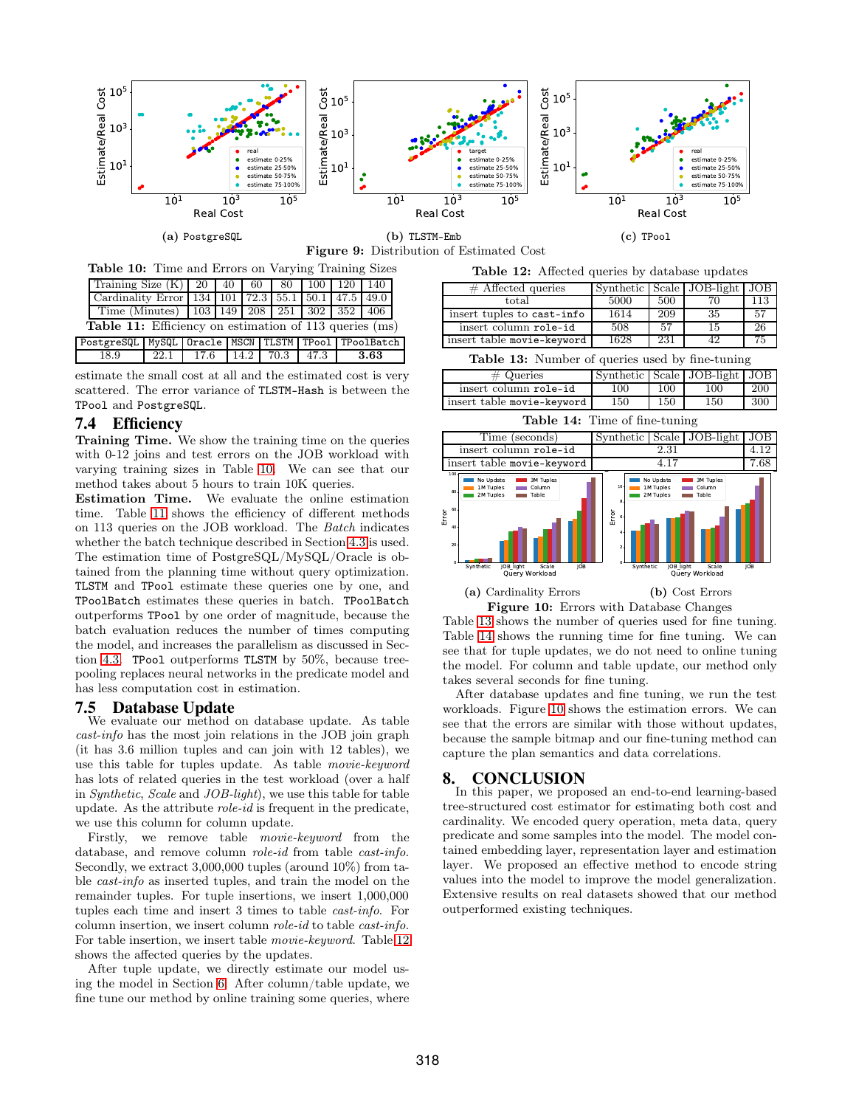<span id="page-11-0"></span>



<span id="page-11-2"></span><span id="page-11-1"></span>

| <b>Table 10:</b> Time and Errors on Varying Training Sizes       |                          |  |  |  |  |  |  |     |      |  |  |
|------------------------------------------------------------------|--------------------------|--|--|--|--|--|--|-----|------|--|--|
| Training Size $(K)$   20   40   60   80   100                    |                          |  |  |  |  |  |  | 120 | 140  |  |  |
| Cardinality Error   134   101   72.3   55.1   50.1   47.5   49.0 |                          |  |  |  |  |  |  |     |      |  |  |
| Time (Minutes)   103   149   208   251   302   352   406         |                          |  |  |  |  |  |  |     |      |  |  |
| <b>Table 11:</b> Efficiency on estimation of 113 queries (ms)    |                          |  |  |  |  |  |  |     |      |  |  |
| PostgreSQL MySQL Oracle MSCN TLSTM TPool TPoolBatch              |                          |  |  |  |  |  |  |     |      |  |  |
| 18.9                                                             | 22.1 17.6 14.2 70.3 47.3 |  |  |  |  |  |  |     | 3.63 |  |  |

estimate the small cost at all and the estimated cost is very scattered. The error variance of TLSTM-Hash is between the TPool and PostgreSQL.

#### 7.4 Efficiency

Training Time. We show the training time on the queries with 0-12 joins and test errors on the JOB workload with varying training sizes in Table [10.](#page-11-1) We can see that our method takes about 5 hours to train 10K queries.

Estimation Time. We evaluate the online estimation time. Table [11](#page-11-2) shows the efficiency of different methods on 113 queries on the JOB workload. The Batch indicates whether the batch technique described in Section [4.3](#page-5-0) is used. The estimation time of PostgreSQL/MySQL/Oracle is obtained from the planning time without query optimization. TLSTM and TPool estimate these queries one by one, and TPoolBatch estimates these queries in batch. TPoolBatch outperforms TPool by one order of magnitude, because the batch evaluation reduces the number of times computing the model, and increases the parallelism as discussed in Section [4.3.](#page-5-0) TPool outperforms TLSTM by 50%, because treepooling replaces neural networks in the predicate model and has less computation cost in estimation.

#### 7.5 Database Update

We evaluate our method on database update. As table cast-info has the most join relations in the JOB join graph (it has 3.6 million tuples and can join with 12 tables), we use this table for tuples update. As table movie-keyword has lots of related queries in the test workload (over a half in Synthetic, Scale and JOB-light), we use this table for table update. As the attribute role-id is frequent in the predicate, we use this column for column update.

Firstly, we remove table movie-keyword from the database, and remove column role-id from table cast-info. Secondly, we extract 3,000,000 tuples (around 10%) from table cast-info as inserted tuples, and train the model on the remainder tuples. For tuple insertions, we insert 1,000,000 tuples each time and insert 3 times to table cast-info. For column insertion, we insert column role-id to table cast-info. For table insertion, we insert table movie-keyword. Table [12](#page-11-3) shows the affected queries by the updates.

After tuple update, we directly estimate our model using the model in Section [6.](#page-8-6) After column/table update, we fine tune our method by online training some queries, where

| Table 12: Affected queries by database updates |  |  |  |  |  |  |
|------------------------------------------------|--|--|--|--|--|--|
|------------------------------------------------|--|--|--|--|--|--|

<span id="page-11-3"></span>

| $\#$ Affected queries      |      |     | Synthetic Scale JOB-light JOB |     |
|----------------------------|------|-----|-------------------------------|-----|
| total                      | 5000 | 500 | 70                            | 113 |
| insert tuples to cast-info | 1614 | 209 | -35                           | .57 |
| insert column role-id      | 508  | .57 | 15                            | -26 |
| insert table movie-keyword | 1628 | 231 | 42                            | 75  |

<span id="page-11-4"></span>Table 13: Number of queries used by fine-tuning

| $\#$ Queries               |     |     | Synthetic Scale JOB-light JOB |     |
|----------------------------|-----|-----|-------------------------------|-----|
| insert column role-id      | 100 | 100 | 100                           | 200 |
| insert table movie-keyword | 150 | 150 | 150                           | 300 |

<span id="page-11-6"></span><span id="page-11-5"></span>

Figure 10: Errors with Database Changes Table [13](#page-11-4) shows the number of queries used for fine tuning. Table [14](#page-11-5) shows the running time for fine tuning. We can see that for tuple updates, we do not need to online tuning the model. For column and table update, our method only

takes several seconds for fine tuning. After database updates and fine tuning, we run the test workloads. Figure [10](#page-11-6) shows the estimation errors. We can see that the errors are similar with those without updates, because the sample bitmap and our fine-tuning method can capture the plan semantics and data correlations.

## 8. CONCLUSION

In this paper, we proposed an end-to-end learning-based tree-structured cost estimator for estimating both cost and cardinality. We encoded query operation, meta data, query predicate and some samples into the model. The model contained embedding layer, representation layer and estimation layer. We proposed an effective method to encode string values into the model to improve the model generalization. Extensive results on real datasets showed that our method outperformed existing techniques.